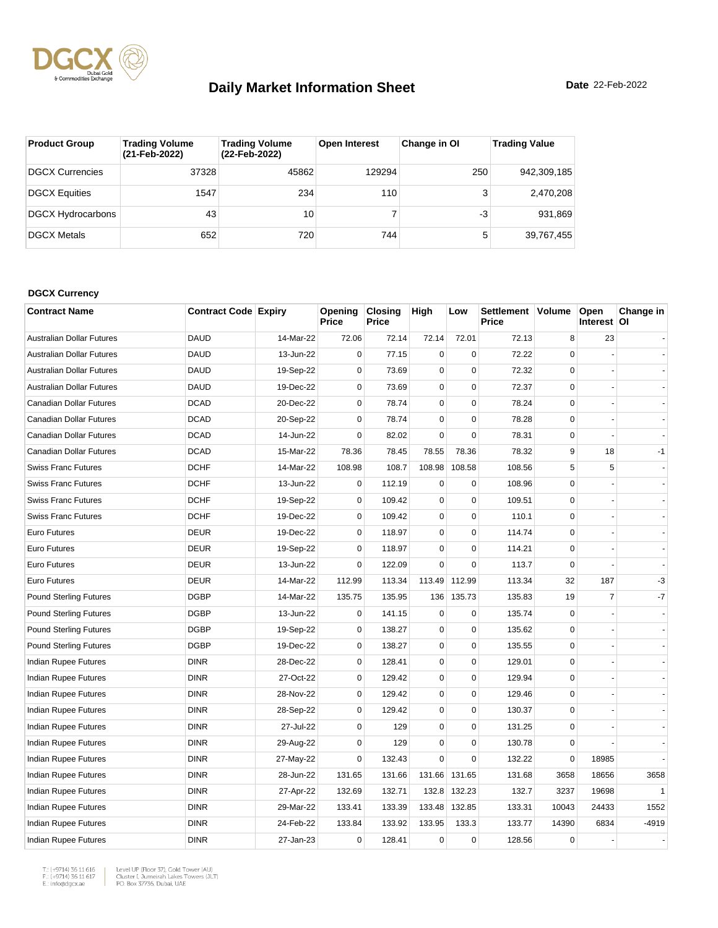

| <b>Product Group</b>     | <b>Trading Volume</b><br>(21-Feb-2022) | <b>Trading Volume</b><br>(22-Feb-2022) | <b>Open Interest</b> | Change in OI | <b>Trading Value</b> |
|--------------------------|----------------------------------------|----------------------------------------|----------------------|--------------|----------------------|
| DGCX Currencies          | 37328                                  | 45862                                  | 129294               | 250          | 942,309,185          |
| <b>DGCX Equities</b>     | 1547                                   | 234                                    | 110                  | 3            | 2,470,208            |
| <b>DGCX Hydrocarbons</b> | 43                                     | 10                                     |                      | -3           | 931,869              |
| <b>DGCX Metals</b>       | 652                                    | 720                                    | 744                  | 5            | 39,767,455           |

#### **DGCX Currency**

| <b>Contract Name</b>           | <b>Contract Code Expiry</b> |           | Opening<br>Price | <b>Closing</b><br>Price | High        | Low         | Settlement   Volume<br>Price |             | Open<br>Interest OI | Change in    |
|--------------------------------|-----------------------------|-----------|------------------|-------------------------|-------------|-------------|------------------------------|-------------|---------------------|--------------|
| Australian Dollar Futures      | <b>DAUD</b>                 | 14-Mar-22 | 72.06            | 72.14                   | 72.14       | 72.01       | 72.13                        | 8           | 23                  |              |
| Australian Dollar Futures      | <b>DAUD</b>                 | 13-Jun-22 | $\mathbf 0$      | 77.15                   | $\mathbf 0$ | $\mathbf 0$ | 72.22                        | $\Omega$    |                     |              |
| Australian Dollar Futures      | <b>DAUD</b>                 | 19-Sep-22 | 0                | 73.69                   | $\mathbf 0$ | $\mathbf 0$ | 72.32                        | $\Omega$    |                     |              |
| Australian Dollar Futures      | <b>DAUD</b>                 | 19-Dec-22 | $\mathbf 0$      | 73.69                   | $\mathbf 0$ | $\pmb{0}$   | 72.37                        | 0           |                     |              |
| <b>Canadian Dollar Futures</b> | <b>DCAD</b>                 | 20-Dec-22 | $\mathbf 0$      | 78.74                   | $\mathbf 0$ | $\mathbf 0$ | 78.24                        | $\Omega$    |                     |              |
| Canadian Dollar Futures        | <b>DCAD</b>                 | 20-Sep-22 | $\mathbf 0$      | 78.74                   | $\mathbf 0$ | $\pmb{0}$   | 78.28                        | 0           |                     |              |
| Canadian Dollar Futures        | <b>DCAD</b>                 | 14-Jun-22 | 0                | 82.02                   | $\mathbf 0$ | $\mathbf 0$ | 78.31                        | $\mathbf 0$ |                     |              |
| Canadian Dollar Futures        | <b>DCAD</b>                 | 15-Mar-22 | 78.36            | 78.45                   | 78.55       | 78.36       | 78.32                        | 9           | 18                  | $-1$         |
| <b>Swiss Franc Futures</b>     | <b>DCHF</b>                 | 14-Mar-22 | 108.98           | 108.7                   | 108.98      | 108.58      | 108.56                       | 5           | 5                   |              |
| <b>Swiss Franc Futures</b>     | <b>DCHF</b>                 | 13-Jun-22 | 0                | 112.19                  | $\mathbf 0$ | $\mathbf 0$ | 108.96                       | $\Omega$    |                     |              |
| <b>Swiss Franc Futures</b>     | <b>DCHF</b>                 | 19-Sep-22 | $\pmb{0}$        | 109.42                  | $\mathbf 0$ | $\pmb{0}$   | 109.51                       | 0           |                     |              |
| <b>Swiss Franc Futures</b>     | <b>DCHF</b>                 | 19-Dec-22 | $\mathbf 0$      | 109.42                  | $\mathbf 0$ | $\mathbf 0$ | 110.1                        | $\Omega$    |                     |              |
| Euro Futures                   | <b>DEUR</b>                 | 19-Dec-22 | $\mathbf 0$      | 118.97                  | $\mathbf 0$ | $\mathbf 0$ | 114.74                       | 0           |                     |              |
| <b>Euro Futures</b>            | <b>DEUR</b>                 | 19-Sep-22 | $\mathbf 0$      | 118.97                  | $\mathbf 0$ | $\mathbf 0$ | 114.21                       | $\Omega$    |                     |              |
| Euro Futures                   | <b>DEUR</b>                 | 13-Jun-22 | $\mathbf 0$      | 122.09                  | $\mathbf 0$ | $\mathbf 0$ | 113.7                        | $\mathbf 0$ |                     |              |
| <b>Euro Futures</b>            | <b>DEUR</b>                 | 14-Mar-22 | 112.99           | 113.34                  | 113.49      | 112.99      | 113.34                       | 32          | 187                 | -3           |
| <b>Pound Sterling Futures</b>  | <b>DGBP</b>                 | 14-Mar-22 | 135.75           | 135.95                  | 136         | 135.73      | 135.83                       | 19          | $\overline{7}$      | $-7$         |
| <b>Pound Sterling Futures</b>  | <b>DGBP</b>                 | 13-Jun-22 | $\mathbf 0$      | 141.15                  | $\mathbf 0$ | $\mathbf 0$ | 135.74                       | 0           |                     |              |
| <b>Pound Sterling Futures</b>  | <b>DGBP</b>                 | 19-Sep-22 | $\mathbf 0$      | 138.27                  | $\mathbf 0$ | $\pmb{0}$   | 135.62                       | $\mathbf 0$ |                     |              |
| <b>Pound Sterling Futures</b>  | <b>DGBP</b>                 | 19-Dec-22 | 0                | 138.27                  | $\mathbf 0$ | $\mathbf 0$ | 135.55                       | $\Omega$    |                     |              |
| Indian Rupee Futures           | <b>DINR</b>                 | 28-Dec-22 | $\mathbf 0$      | 128.41                  | $\pmb{0}$   | $\pmb{0}$   | 129.01                       | 0           |                     |              |
| Indian Rupee Futures           | <b>DINR</b>                 | 27-Oct-22 | $\mathbf 0$      | 129.42                  | $\mathbf 0$ | $\mathbf 0$ | 129.94                       | $\Omega$    |                     |              |
| Indian Rupee Futures           | <b>DINR</b>                 | 28-Nov-22 | 0                | 129.42                  | $\pmb{0}$   | $\pmb{0}$   | 129.46                       | 0           |                     |              |
| <b>Indian Rupee Futures</b>    | <b>DINR</b>                 | 28-Sep-22 | $\mathbf 0$      | 129.42                  | $\mathbf 0$ | $\mathbf 0$ | 130.37                       | $\Omega$    |                     |              |
| Indian Rupee Futures           | <b>DINR</b>                 | 27-Jul-22 | $\mathbf 0$      | 129                     | $\mathbf 0$ | $\mathbf 0$ | 131.25                       | 0           |                     |              |
| Indian Rupee Futures           | <b>DINR</b>                 | 29-Aug-22 | $\mathbf 0$      | 129                     | $\pmb{0}$   | $\pmb{0}$   | 130.78                       | 0           |                     |              |
| Indian Rupee Futures           | <b>DINR</b>                 | 27-May-22 | 0                | 132.43                  | $\Omega$    | $\Omega$    | 132.22                       | $\Omega$    | 18985               |              |
| Indian Rupee Futures           | <b>DINR</b>                 | 28-Jun-22 | 131.65           | 131.66                  | 131.66      | 131.65      | 131.68                       | 3658        | 18656               | 3658         |
| <b>Indian Rupee Futures</b>    | <b>DINR</b>                 | 27-Apr-22 | 132.69           | 132.71                  | 132.8       | 132.23      | 132.7                        | 3237        | 19698               | $\mathbf{1}$ |
| Indian Rupee Futures           | <b>DINR</b>                 | 29-Mar-22 | 133.41           | 133.39                  | 133.48      | 132.85      | 133.31                       | 10043       | 24433               | 1552         |
| Indian Rupee Futures           | <b>DINR</b>                 | 24-Feb-22 | 133.84           | 133.92                  | 133.95      | 133.3       | 133.77                       | 14390       | 6834                | $-4919$      |
| Indian Rupee Futures           | <b>DINR</b>                 | 27-Jan-23 | 0                | 128.41                  | $\mathbf 0$ | $\mathbf 0$ | 128.56                       | $\mathbf 0$ |                     |              |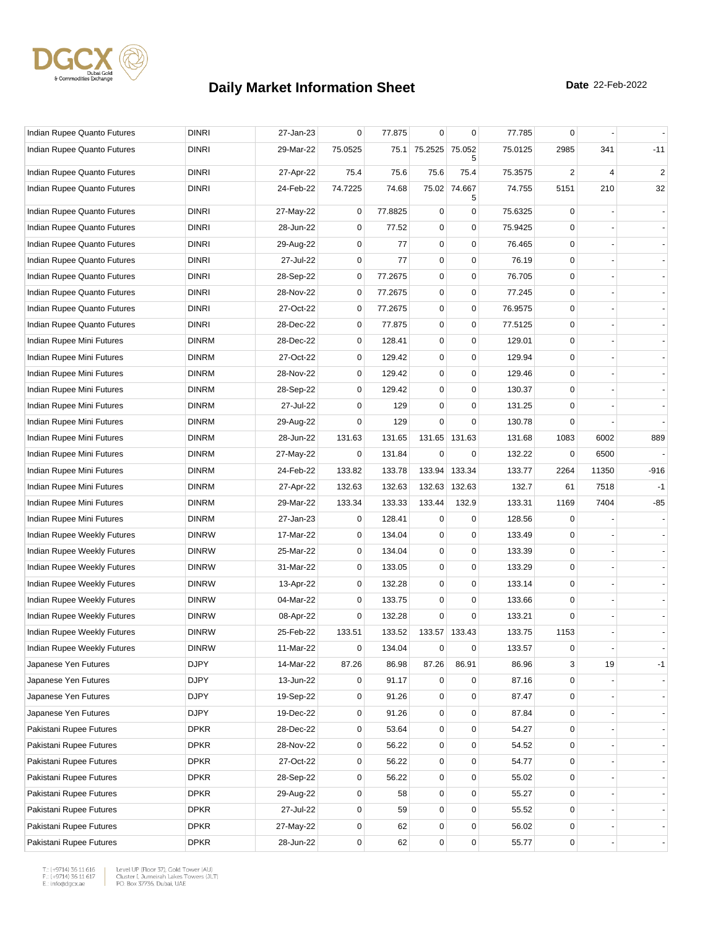

| Indian Rupee Quanto Futures | <b>DINRI</b> | 27-Jan-23 | 0           | 77.875  | $\mathbf 0$ | 0           | 77.785  | 0           |       |                |
|-----------------------------|--------------|-----------|-------------|---------|-------------|-------------|---------|-------------|-------|----------------|
| Indian Rupee Quanto Futures | <b>DINRI</b> | 29-Mar-22 | 75.0525     | 75.1    | 75.2525     | 75.052      | 75.0125 | 2985        | 341   | $-11$          |
| Indian Rupee Quanto Futures | <b>DINRI</b> | 27-Apr-22 | 75.4        | 75.6    | 75.6        | 75.4        | 75.3575 | 2           | 4     | $\overline{2}$ |
| Indian Rupee Quanto Futures | <b>DINRI</b> | 24-Feb-22 | 74.7225     | 74.68   | 75.02       | 74.667<br>5 | 74.755  | 5151        | 210   | 32             |
| Indian Rupee Quanto Futures | <b>DINRI</b> | 27-May-22 | 0           | 77.8825 | $\mathbf 0$ | $\mathbf 0$ | 75.6325 | 0           |       |                |
| Indian Rupee Quanto Futures | <b>DINRI</b> | 28-Jun-22 | $\mathbf 0$ | 77.52   | $\mathbf 0$ | $\mathbf 0$ | 75.9425 | $\Omega$    |       |                |
| Indian Rupee Quanto Futures | <b>DINRI</b> | 29-Aug-22 | 0           | 77      | $\pmb{0}$   | $\mathbf 0$ | 76.465  | 0           |       |                |
| Indian Rupee Quanto Futures | <b>DINRI</b> | 27-Jul-22 | 0           | 77      | $\mathbf 0$ | $\mathbf 0$ | 76.19   | 0           |       |                |
| Indian Rupee Quanto Futures | <b>DINRI</b> | 28-Sep-22 | 0           | 77.2675 | 0           | 0           | 76.705  | 0           |       |                |
| Indian Rupee Quanto Futures | <b>DINRI</b> | 28-Nov-22 | 0           | 77.2675 | 0           | 0           | 77.245  | $\mathbf 0$ |       |                |
| Indian Rupee Quanto Futures | <b>DINRI</b> | 27-Oct-22 | 0           | 77.2675 | $\mathbf 0$ | $\mathbf 0$ | 76.9575 | 0           |       |                |
| Indian Rupee Quanto Futures | <b>DINRI</b> | 28-Dec-22 | 0           | 77.875  | $\pmb{0}$   | $\mathbf 0$ | 77.5125 | 0           |       |                |
| Indian Rupee Mini Futures   | <b>DINRM</b> | 28-Dec-22 | $\mathbf 0$ | 128.41  | 0           | $\mathbf 0$ | 129.01  | $\mathbf 0$ |       |                |
| Indian Rupee Mini Futures   | <b>DINRM</b> | 27-Oct-22 | 0           | 129.42  | 0           | $\mathbf 0$ | 129.94  | 0           |       |                |
| Indian Rupee Mini Futures   | <b>DINRM</b> | 28-Nov-22 | 0           | 129.42  | $\mathbf 0$ | $\mathbf 0$ | 129.46  | 0           |       |                |
| Indian Rupee Mini Futures   | <b>DINRM</b> | 28-Sep-22 | $\mathbf 0$ | 129.42  | 0           | $\mathbf 0$ | 130.37  | $\Omega$    |       |                |
| Indian Rupee Mini Futures   | <b>DINRM</b> | 27-Jul-22 | 0           | 129     | 0           | 0           | 131.25  | $\Omega$    |       |                |
| Indian Rupee Mini Futures   | <b>DINRM</b> | 29-Aug-22 | 0           | 129     | 0           | $\mathbf 0$ | 130.78  | 0           |       |                |
| Indian Rupee Mini Futures   | <b>DINRM</b> | 28-Jun-22 | 131.63      | 131.65  | 131.65      | 131.63      | 131.68  | 1083        | 6002  | 889            |
| Indian Rupee Mini Futures   | <b>DINRM</b> | 27-May-22 | 0           | 131.84  | $\mathbf 0$ | 0           | 132.22  | 0           | 6500  |                |
| Indian Rupee Mini Futures   | <b>DINRM</b> | 24-Feb-22 | 133.82      | 133.78  | 133.94      | 133.34      | 133.77  | 2264        | 11350 | $-916$         |
| Indian Rupee Mini Futures   | <b>DINRM</b> | 27-Apr-22 | 132.63      | 132.63  | 132.63      | 132.63      | 132.7   | 61          | 7518  | $-1$           |
| Indian Rupee Mini Futures   | <b>DINRM</b> | 29-Mar-22 | 133.34      | 133.33  | 133.44      | 132.9       | 133.31  | 1169        | 7404  | -85            |
| Indian Rupee Mini Futures   | <b>DINRM</b> | 27-Jan-23 | 0           | 128.41  | 0           | 0           | 128.56  | 0           |       |                |
| Indian Rupee Weekly Futures | <b>DINRW</b> | 17-Mar-22 | 0           | 134.04  | $\mathbf 0$ | $\mathbf 0$ | 133.49  | 0           |       |                |
| Indian Rupee Weekly Futures | <b>DINRW</b> | 25-Mar-22 | 0           | 134.04  | 0           | $\mathbf 0$ | 133.39  | $\mathbf 0$ |       |                |
| Indian Rupee Weekly Futures | <b>DINRW</b> | 31-Mar-22 | 0           | 133.05  | $\mathbf 0$ | 0           | 133.29  | $\mathbf 0$ |       |                |
| Indian Rupee Weekly Futures | <b>DINRW</b> | 13-Apr-22 | 0           | 132.28  | $\mathbf 0$ | $\mathbf 0$ | 133.14  | 0           |       |                |
| Indian Rupee Weekly Futures | <b>DINRW</b> | 04-Mar-22 | 0           | 133.75  | 0           | 0           | 133.66  | 0           |       |                |
| Indian Rupee Weekly Futures | <b>DINRW</b> | 08-Apr-22 | 0           | 132.28  | 0           | 0           | 133.21  | $\Omega$    |       |                |
| Indian Rupee Weekly Futures | <b>DINRW</b> | 25-Feb-22 | 133.51      | 133.52  | 133.57      | 133.43      | 133.75  | 1153        |       |                |
| Indian Rupee Weekly Futures | <b>DINRW</b> | 11-Mar-22 | 0           | 134.04  | 0           | 0           | 133.57  | 0           |       |                |
| Japanese Yen Futures        | <b>DJPY</b>  | 14-Mar-22 | 87.26       | 86.98   | 87.26       | 86.91       | 86.96   | 3           | 19    | -1             |
| Japanese Yen Futures        | <b>DJPY</b>  | 13-Jun-22 | 0           | 91.17   | 0           | $\pmb{0}$   | 87.16   | 0           |       |                |
| Japanese Yen Futures        | <b>DJPY</b>  | 19-Sep-22 | 0           | 91.26   | $\mathbf 0$ | $\mathbf 0$ | 87.47   | 0           |       |                |
| Japanese Yen Futures        | <b>DJPY</b>  | 19-Dec-22 | 0           | 91.26   | 0           | $\mathbf 0$ | 87.84   | 0           |       |                |
| Pakistani Rupee Futures     | <b>DPKR</b>  | 28-Dec-22 | 0           | 53.64   | $\mathbf 0$ | $\pmb{0}$   | 54.27   | 0           |       |                |
| Pakistani Rupee Futures     | <b>DPKR</b>  | 28-Nov-22 | 0           | 56.22   | $\pmb{0}$   | $\mathbf 0$ | 54.52   | 0           |       |                |
| Pakistani Rupee Futures     | <b>DPKR</b>  | 27-Oct-22 | 0           | 56.22   | 0           | 0           | 54.77   | 0           |       |                |
| Pakistani Rupee Futures     | <b>DPKR</b>  | 28-Sep-22 | 0           | 56.22   | 0           | $\mathbf 0$ | 55.02   | 0           |       |                |
| Pakistani Rupee Futures     | <b>DPKR</b>  | 29-Aug-22 | $\pmb{0}$   | 58      | $\mathbf 0$ | $\pmb{0}$   | 55.27   | 0           |       |                |
| Pakistani Rupee Futures     | <b>DPKR</b>  | 27-Jul-22 | 0           | 59      | 0           | $\pmb{0}$   | 55.52   | 0           |       |                |
| Pakistani Rupee Futures     | <b>DPKR</b>  | 27-May-22 | $\mathbf 0$ | 62      | 0           | $\mathbf 0$ | 56.02   | 0           |       |                |
| Pakistani Rupee Futures     | <b>DPKR</b>  | 28-Jun-22 | 0           | 62      | 0           | $\pmb{0}$   | 55.77   | 0           |       |                |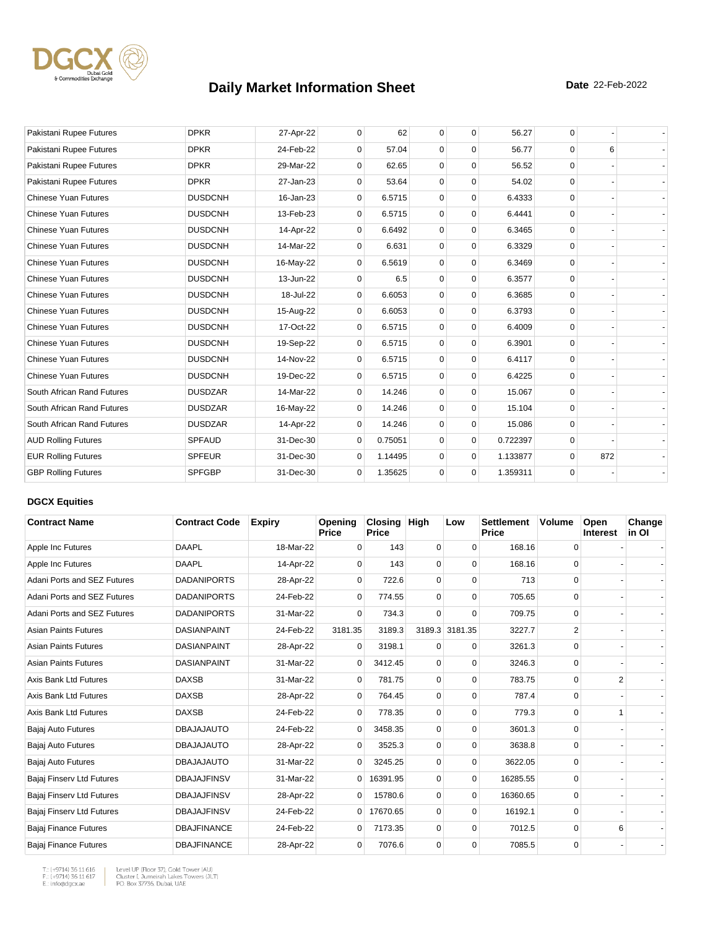

| Pakistani Rupee Futures     | <b>DPKR</b>    | 27-Apr-22 | $\mathbf{0}$ | 62      | $\mathbf 0$ | $\mathbf 0$ | 56.27    | 0        |     |  |
|-----------------------------|----------------|-----------|--------------|---------|-------------|-------------|----------|----------|-----|--|
| Pakistani Rupee Futures     | <b>DPKR</b>    | 24-Feb-22 | $\Omega$     | 57.04   | $\mathbf 0$ | $\Omega$    | 56.77    | $\Omega$ | 6   |  |
| Pakistani Rupee Futures     | <b>DPKR</b>    | 29-Mar-22 | $\mathbf 0$  | 62.65   | $\mathbf 0$ | $\mathbf 0$ | 56.52    | $\Omega$ |     |  |
| Pakistani Rupee Futures     | <b>DPKR</b>    | 27-Jan-23 | 0            | 53.64   | $\mathbf 0$ | $\mathbf 0$ | 54.02    | $\Omega$ |     |  |
| <b>Chinese Yuan Futures</b> | <b>DUSDCNH</b> | 16-Jan-23 | 0            | 6.5715  | $\mathbf 0$ | $\mathbf 0$ | 6.4333   | $\Omega$ |     |  |
| <b>Chinese Yuan Futures</b> | <b>DUSDCNH</b> | 13-Feb-23 | 0            | 6.5715  | $\mathbf 0$ | 0           | 6.4441   | $\Omega$ |     |  |
| <b>Chinese Yuan Futures</b> | <b>DUSDCNH</b> | 14-Apr-22 | 0            | 6.6492  | $\mathbf 0$ | $\mathbf 0$ | 6.3465   | $\Omega$ |     |  |
| <b>Chinese Yuan Futures</b> | <b>DUSDCNH</b> | 14-Mar-22 | $\Omega$     | 6.631   | $\mathbf 0$ | $\mathbf 0$ | 6.3329   | $\Omega$ |     |  |
| <b>Chinese Yuan Futures</b> | <b>DUSDCNH</b> | 16-May-22 | $\Omega$     | 6.5619  | $\mathbf 0$ | $\Omega$    | 6.3469   | $\Omega$ |     |  |
| <b>Chinese Yuan Futures</b> | <b>DUSDCNH</b> | 13-Jun-22 | $\mathbf{0}$ | 6.5     | $\mathbf 0$ | $\mathbf 0$ | 6.3577   | $\Omega$ |     |  |
| <b>Chinese Yuan Futures</b> | <b>DUSDCNH</b> | 18-Jul-22 | $\mathbf 0$  | 6.6053  | $\mathbf 0$ | $\mathbf 0$ | 6.3685   | $\Omega$ |     |  |
| <b>Chinese Yuan Futures</b> | <b>DUSDCNH</b> | 15-Aug-22 | 0            | 6.6053  | $\mathbf 0$ | $\mathbf 0$ | 6.3793   | $\Omega$ |     |  |
| <b>Chinese Yuan Futures</b> | <b>DUSDCNH</b> | 17-Oct-22 | $\mathbf{0}$ | 6.5715  | $\mathbf 0$ | $\mathbf 0$ | 6.4009   | $\Omega$ |     |  |
| <b>Chinese Yuan Futures</b> | <b>DUSDCNH</b> | 19-Sep-22 | 0            | 6.5715  | $\mathbf 0$ | $\mathbf 0$ | 6.3901   | $\Omega$ |     |  |
| <b>Chinese Yuan Futures</b> | <b>DUSDCNH</b> | 14-Nov-22 | $\mathbf{0}$ | 6.5715  | $\mathbf 0$ | $\mathbf 0$ | 6.4117   | $\Omega$ |     |  |
| <b>Chinese Yuan Futures</b> | <b>DUSDCNH</b> | 19-Dec-22 | 0            | 6.5715  | $\mathbf 0$ | $\Omega$    | 6.4225   | $\Omega$ |     |  |
| South African Rand Futures  | <b>DUSDZAR</b> | 14-Mar-22 | 0            | 14.246  | $\mathbf 0$ | $\mathbf 0$ | 15.067   | $\Omega$ |     |  |
| South African Rand Futures  | <b>DUSDZAR</b> | 16-May-22 | $\mathbf 0$  | 14.246  | $\mathbf 0$ | $\mathbf 0$ | 15.104   | $\Omega$ |     |  |
| South African Rand Futures  | <b>DUSDZAR</b> | 14-Apr-22 | $\Omega$     | 14.246  | $\mathbf 0$ | $\mathbf 0$ | 15.086   | $\Omega$ |     |  |
| <b>AUD Rolling Futures</b>  | <b>SPFAUD</b>  | 31-Dec-30 | $\mathbf 0$  | 0.75051 | $\Omega$    | $\mathbf 0$ | 0.722397 | $\Omega$ |     |  |
| <b>EUR Rolling Futures</b>  | <b>SPFEUR</b>  | 31-Dec-30 | $\Omega$     | 1.14495 | $\mathbf 0$ | $\mathbf 0$ | 1.133877 | $\Omega$ | 872 |  |
| <b>GBP Rolling Futures</b>  | <b>SPFGBP</b>  | 31-Dec-30 | $\mathbf{0}$ | 1.35625 | $\mathbf 0$ | $\mathbf 0$ | 1.359311 | 0        |     |  |

### **DGCX Equities**

| <b>Contract Name</b>         | <b>Contract Code</b> | <b>Expiry</b> | Opening<br><b>Price</b> | <b>Closing</b><br><b>Price</b> | High        | Low            | <b>Settlement</b><br>Price | <b>Volume</b> | Open<br><b>Interest</b> | Change<br>in OI |
|------------------------------|----------------------|---------------|-------------------------|--------------------------------|-------------|----------------|----------------------------|---------------|-------------------------|-----------------|
| Apple Inc Futures            | <b>DAAPL</b>         | 18-Mar-22     | $\Omega$                | 143                            | 0           | $\Omega$       | 168.16                     | 0             |                         |                 |
| Apple Inc Futures            | <b>DAAPL</b>         | 14-Apr-22     | $\Omega$                | 143                            | 0           | $\Omega$       | 168.16                     | 0             |                         |                 |
| Adani Ports and SEZ Futures  | <b>DADANIPORTS</b>   | 28-Apr-22     | 0                       | 722.6                          | $\mathbf 0$ | 0              | 713                        | 0             |                         |                 |
| Adani Ports and SEZ Futures  | <b>DADANIPORTS</b>   | 24-Feb-22     | $\mathbf 0$             | 774.55                         | 0           | $\Omega$       | 705.65                     | 0             |                         |                 |
| Adani Ports and SEZ Futures  | <b>DADANIPORTS</b>   | 31-Mar-22     | $\Omega$                | 734.3                          | $\Omega$    | $\Omega$       | 709.75                     | 0             |                         |                 |
| <b>Asian Paints Futures</b>  | <b>DASIANPAINT</b>   | 24-Feb-22     | 3181.35                 | 3189.3                         |             | 3189.3 3181.35 | 3227.7                     | 2             |                         |                 |
| <b>Asian Paints Futures</b>  | <b>DASIANPAINT</b>   | 28-Apr-22     | $\Omega$                | 3198.1                         | $\Omega$    | $\Omega$       | 3261.3                     | $\Omega$      |                         |                 |
| <b>Asian Paints Futures</b>  | <b>DASIANPAINT</b>   | 31-Mar-22     | $\overline{0}$          | 3412.45                        | $\mathbf 0$ | $\mathbf 0$    | 3246.3                     | $\mathbf 0$   |                         |                 |
| Axis Bank Ltd Futures        | <b>DAXSB</b>         | 31-Mar-22     | 0                       | 781.75                         | $\mathbf 0$ | 0              | 783.75                     | 0             | 2                       |                 |
| Axis Bank Ltd Futures        | <b>DAXSB</b>         | 28-Apr-22     | $\mathbf 0$             | 764.45                         | 0           | $\Omega$       | 787.4                      | 0             |                         |                 |
| Axis Bank Ltd Futures        | <b>DAXSB</b>         | 24-Feb-22     | 0                       | 778.35                         | 0           | 0              | 779.3                      | 0             | 1                       |                 |
| Bajaj Auto Futures           | <b>DBAJAJAUTO</b>    | 24-Feb-22     | 0                       | 3458.35                        | 0           | $\Omega$       | 3601.3                     | $\mathbf 0$   |                         |                 |
| Bajaj Auto Futures           | <b>DBAJAJAUTO</b>    | 28-Apr-22     | $\Omega$                | 3525.3                         | $\Omega$    | $\Omega$       | 3638.8                     | $\Omega$      |                         |                 |
| Bajaj Auto Futures           | <b>DBAJAJAUTO</b>    | 31-Mar-22     | $\mathbf{0}$            | 3245.25                        | $\mathbf 0$ | 0              | 3622.05                    | 0             |                         |                 |
| Bajaj Finserv Ltd Futures    | <b>DBAJAJFINSV</b>   | 31-Mar-22     | $\overline{0}$          | 16391.95                       | 0           | 0              | 16285.55                   | 0             |                         |                 |
| Bajaj Finserv Ltd Futures    | <b>DBAJAJFINSV</b>   | 28-Apr-22     | 0                       | 15780.6                        | 0           | $\Omega$       | 16360.65                   | 0             |                         |                 |
| Bajaj Finserv Ltd Futures    | <b>DBAJAJFINSV</b>   | 24-Feb-22     | $\overline{0}$          | 17670.65                       | $\mathbf 0$ | $\Omega$       | 16192.1                    | 0             |                         |                 |
| Bajaj Finance Futures        | <b>DBAJFINANCE</b>   | 24-Feb-22     | 0                       | 7173.35                        | 0           | $\Omega$       | 7012.5                     | 0             | 6                       |                 |
| <b>Bajaj Finance Futures</b> | <b>DBAJFINANCE</b>   | 28-Apr-22     | $\mathbf 0$             | 7076.6                         | 0           | $\Omega$       | 7085.5                     | 0             |                         |                 |

T.: (+9714) 36 11 616<br>F.: (+9714) 36 11 617<br>E.: info@dgcx.ae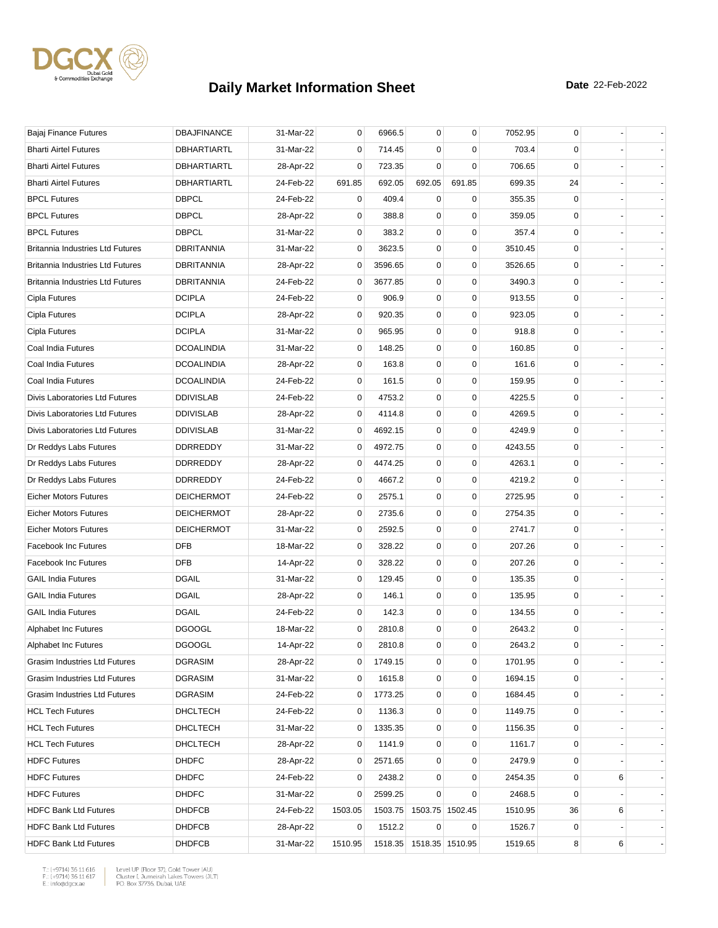

| Bajaj Finance Futures                   | <b>DBAJFINANCE</b> | 31-Mar-22 | 0           | 6966.5  | $\mathbf 0$             | $\mathbf 0$     | 7052.95 | 0            |   |  |
|-----------------------------------------|--------------------|-----------|-------------|---------|-------------------------|-----------------|---------|--------------|---|--|
| <b>Bharti Airtel Futures</b>            | DBHARTIARTL        | 31-Mar-22 | 0           | 714.45  | 0                       | 0               | 703.4   | 0            |   |  |
| <b>Bharti Airtel Futures</b>            | DBHARTIARTL        | 28-Apr-22 | 0           | 723.35  | $\mathbf 0$             | $\mathbf 0$     | 706.65  | 0            |   |  |
| <b>Bharti Airtel Futures</b>            | DBHARTIARTL        | 24-Feb-22 | 691.85      | 692.05  | 692.05                  | 691.85          | 699.35  | 24           |   |  |
| <b>BPCL Futures</b>                     | <b>DBPCL</b>       | 24-Feb-22 | 0           | 409.4   | $\mathbf 0$             | $\mathbf 0$     | 355.35  | 0            |   |  |
| <b>BPCL Futures</b>                     | <b>DBPCL</b>       | 28-Apr-22 | 0           | 388.8   | 0                       | $\mathbf 0$     | 359.05  | 0            |   |  |
| <b>BPCL Futures</b>                     | <b>DBPCL</b>       | 31-Mar-22 | 0           | 383.2   | 0                       | $\mathbf 0$     | 357.4   | 0            |   |  |
| <b>Britannia Industries Ltd Futures</b> | <b>DBRITANNIA</b>  | 31-Mar-22 | 0           | 3623.5  | 0                       | 0               | 3510.45 | 0            |   |  |
| <b>Britannia Industries Ltd Futures</b> | DBRITANNIA         | 28-Apr-22 | 0           | 3596.65 | 0                       | 0               | 3526.65 | 0            |   |  |
| <b>Britannia Industries Ltd Futures</b> | <b>DBRITANNIA</b>  | 24-Feb-22 | 0           | 3677.85 | $\mathbf 0$             | $\mathbf 0$     | 3490.3  | 0            |   |  |
| Cipla Futures                           | <b>DCIPLA</b>      | 24-Feb-22 | 0           | 906.9   | 0                       | $\mathbf 0$     | 913.55  | 0            |   |  |
| Cipla Futures                           | <b>DCIPLA</b>      | 28-Apr-22 | 0           | 920.35  | 0                       | $\mathbf 0$     | 923.05  | 0            |   |  |
| Cipla Futures                           | <b>DCIPLA</b>      | 31-Mar-22 | 0           | 965.95  | 0                       | 0               | 918.8   | 0            |   |  |
| Coal India Futures                      | <b>DCOALINDIA</b>  | 31-Mar-22 | 0           | 148.25  | 0                       | $\mathbf 0$     | 160.85  | $\mathbf 0$  |   |  |
| Coal India Futures                      | <b>DCOALINDIA</b>  | 28-Apr-22 | 0           | 163.8   | 0                       | $\mathbf 0$     | 161.6   | 0            |   |  |
| Coal India Futures                      | <b>DCOALINDIA</b>  | 24-Feb-22 | 0           | 161.5   | 0                       | 0               | 159.95  | 0            |   |  |
| Divis Laboratories Ltd Futures          | <b>DDIVISLAB</b>   | 24-Feb-22 | 0           | 4753.2  | 0                       | $\mathbf 0$     | 4225.5  | $\mathbf 0$  |   |  |
| Divis Laboratories Ltd Futures          | <b>DDIVISLAB</b>   | 28-Apr-22 | 0           | 4114.8  | 0                       | $\mathbf 0$     | 4269.5  | 0            |   |  |
| Divis Laboratories Ltd Futures          | <b>DDIVISLAB</b>   | 31-Mar-22 | 0           | 4692.15 | 0                       | 0               | 4249.9  | 0            |   |  |
| Dr Reddys Labs Futures                  | DDRREDDY           | 31-Mar-22 | 0           | 4972.75 | 0                       | $\mathbf 0$     | 4243.55 | $\mathbf 0$  |   |  |
| Dr Reddys Labs Futures                  | DDRREDDY           | 28-Apr-22 | 0           | 4474.25 | 0                       | $\mathbf 0$     | 4263.1  | 0            |   |  |
| Dr Reddys Labs Futures                  | DDRREDDY           | 24-Feb-22 | 0           | 4667.2  | 0                       | 0               | 4219.2  | 0            |   |  |
| <b>Eicher Motors Futures</b>            | <b>DEICHERMOT</b>  | 24-Feb-22 | 0           | 2575.1  | 0                       | $\mathbf 0$     | 2725.95 | 0            |   |  |
| <b>Eicher Motors Futures</b>            | <b>DEICHERMOT</b>  | 28-Apr-22 | 0           | 2735.6  | 0                       | $\mathbf 0$     | 2754.35 | 0            |   |  |
| <b>Eicher Motors Futures</b>            | <b>DEICHERMOT</b>  | 31-Mar-22 | 0           | 2592.5  | 0                       | 0               | 2741.7  | $\mathbf 0$  |   |  |
| Facebook Inc Futures                    | <b>DFB</b>         | 18-Mar-22 | 0           | 328.22  | 0                       | 0               | 207.26  | 0            |   |  |
| <b>Facebook Inc Futures</b>             | <b>DFB</b>         | 14-Apr-22 | 0           | 328.22  | 0                       | $\mathbf 0$     | 207.26  | 0            |   |  |
| <b>GAIL India Futures</b>               | <b>DGAIL</b>       | 31-Mar-22 | 0           | 129.45  | 0                       | $\mathbf 0$     | 135.35  | 0            |   |  |
| <b>GAIL India Futures</b>               | <b>DGAIL</b>       | 28-Apr-22 | 0           | 146.1   | 0                       | $\mathbf 0$     | 135.95  | 0            |   |  |
| <b>GAIL India Futures</b>               | <b>DGAIL</b>       | 24-Feb-22 | 0           | 142.3   | 0                       | 0               | 134.55  | 0            |   |  |
| Alphabet Inc Futures                    | <b>DGOOGL</b>      | 18-Mar-22 | 0           | 2810.8  | 0                       | 0               | 2643.2  | 0            |   |  |
| Alphabet Inc Futures                    | <b>DGOOGL</b>      | 14-Apr-22 | $\mathbf 0$ | 2810.8  | $\mathbf 0$             | $\mathbf 0$     | 2643.2  | $\mathbf{0}$ |   |  |
| Grasim Industries Ltd Futures           | <b>DGRASIM</b>     | 28-Apr-22 | 0           | 1749.15 | 0                       | 0               | 1701.95 | 0            |   |  |
| Grasim Industries Ltd Futures           | <b>DGRASIM</b>     | 31-Mar-22 | 0           | 1615.8  | 0                       | 0               | 1694.15 | 0            |   |  |
| Grasim Industries Ltd Futures           | DGRASIM            | 24-Feb-22 | 0           | 1773.25 | 0                       | $\pmb{0}$       | 1684.45 | 0            |   |  |
| <b>HCL Tech Futures</b>                 | <b>DHCLTECH</b>    | 24-Feb-22 | 0           | 1136.3  | 0                       | 0               | 1149.75 | 0            |   |  |
| <b>HCL Tech Futures</b>                 | DHCLTECH           | 31-Mar-22 | 0           | 1335.35 | 0                       | $\mathbf 0$     | 1156.35 | 0            |   |  |
| <b>HCL Tech Futures</b>                 | <b>DHCLTECH</b>    | 28-Apr-22 | 0           | 1141.9  | 0                       | 0               | 1161.7  | 0            |   |  |
| <b>HDFC Futures</b>                     | <b>DHDFC</b>       | 28-Apr-22 | 0           | 2571.65 | 0                       | 0               | 2479.9  | 0            |   |  |
| <b>HDFC Futures</b>                     | <b>DHDFC</b>       | 24-Feb-22 | 0           | 2438.2  | 0                       | 0               | 2454.35 | 0            | 6 |  |
| <b>HDFC Futures</b>                     | <b>DHDFC</b>       | 31-Mar-22 | 0           | 2599.25 | 0                       | 0               | 2468.5  | 0            |   |  |
| <b>HDFC Bank Ltd Futures</b>            | <b>DHDFCB</b>      | 24-Feb-22 | 1503.05     | 1503.75 |                         | 1503.75 1502.45 | 1510.95 | 36           | 6 |  |
| <b>HDFC Bank Ltd Futures</b>            | <b>DHDFCB</b>      | 28-Apr-22 | 0           | 1512.2  | $\mathbf 0$             | 0               | 1526.7  | 0            |   |  |
| <b>HDFC Bank Ltd Futures</b>            | <b>DHDFCB</b>      | 31-Mar-22 | 1510.95     |         | 1518.35 1518.35 1510.95 |                 | 1519.65 | 8            | 6 |  |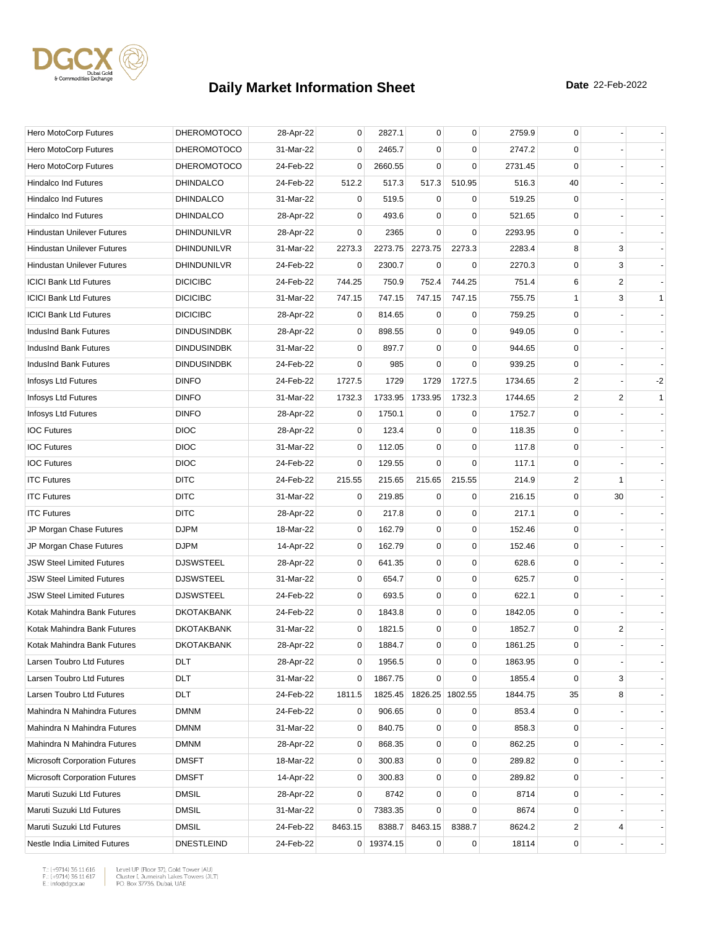

| Hero MotoCorp Futures                | <b>DHEROMOTOCO</b> | 28-Apr-22 | 0           | 2827.1     | 0           | $\mathbf 0$     | 2759.9  | 0                       |    |              |
|--------------------------------------|--------------------|-----------|-------------|------------|-------------|-----------------|---------|-------------------------|----|--------------|
| Hero MotoCorp Futures                | <b>DHEROMOTOCO</b> | 31-Mar-22 | 0           | 2465.7     | $\mathbf 0$ | 0               | 2747.2  | 0                       |    |              |
| Hero MotoCorp Futures                | <b>DHEROMOTOCO</b> | 24-Feb-22 | 0           | 2660.55    | $\Omega$    | $\mathbf 0$     | 2731.45 | $\mathbf 0$             |    |              |
| Hindalco Ind Futures                 | <b>DHINDALCO</b>   | 24-Feb-22 | 512.2       | 517.3      | 517.3       | 510.95          | 516.3   | 40                      |    |              |
| <b>Hindalco Ind Futures</b>          | <b>DHINDALCO</b>   | 31-Mar-22 | 0           | 519.5      | $\mathbf 0$ | $\mathbf 0$     | 519.25  | $\mathbf 0$             |    |              |
| <b>Hindalco Ind Futures</b>          | <b>DHINDALCO</b>   | 28-Apr-22 | 0           | 493.6      | 0           | $\mathbf 0$     | 521.65  | 0                       |    |              |
| <b>Hindustan Unilever Futures</b>    | DHINDUNILVR        | 28-Apr-22 | 0           | 2365       | $\Omega$    | $\mathbf 0$     | 2293.95 | 0                       |    |              |
| <b>Hindustan Unilever Futures</b>    | DHINDUNILVR        | 31-Mar-22 | 2273.3      | 2273.75    | 2273.75     | 2273.3          | 2283.4  | 8                       | 3  |              |
| <b>Hindustan Unilever Futures</b>    | DHINDUNILVR        | 24-Feb-22 | 0           | 2300.7     | 0           | 0               | 2270.3  | $\mathbf 0$             | 3  |              |
| <b>ICICI Bank Ltd Futures</b>        | <b>DICICIBC</b>    | 24-Feb-22 | 744.25      | 750.9      | 752.4       | 744.25          | 751.4   | 6                       | 2  |              |
| <b>ICICI Bank Ltd Futures</b>        | <b>DICICIBC</b>    | 31-Mar-22 | 747.15      | 747.15     | 747.15      | 747.15          | 755.75  | $\mathbf{1}$            | 3  | $\mathbf{1}$ |
| <b>ICICI Bank Ltd Futures</b>        | <b>DICICIBC</b>    | 28-Apr-22 | 0           | 814.65     | 0           | 0               | 759.25  | 0                       |    |              |
| IndusInd Bank Futures                | <b>DINDUSINDBK</b> | 28-Apr-22 | 0           | 898.55     | 0           | 0               | 949.05  | 0                       |    |              |
| IndusInd Bank Futures                | <b>DINDUSINDBK</b> | 31-Mar-22 | 0           | 897.7      | $\mathbf 0$ | $\mathbf 0$     | 944.65  | 0                       |    |              |
| IndusInd Bank Futures                | <b>DINDUSINDBK</b> | 24-Feb-22 | 0           | 985        | $\mathbf 0$ | $\mathbf 0$     | 939.25  | 0                       |    |              |
| Infosys Ltd Futures                  | <b>DINFO</b>       | 24-Feb-22 | 1727.5      | 1729       | 1729        | 1727.5          | 1734.65 | 2                       |    | $-2$         |
| Infosys Ltd Futures                  | <b>DINFO</b>       | 31-Mar-22 | 1732.3      | 1733.95    | 1733.95     | 1732.3          | 1744.65 | $\overline{\mathbf{c}}$ | 2  | $\mathbf{1}$ |
| Infosys Ltd Futures                  | <b>DINFO</b>       | 28-Apr-22 | 0           | 1750.1     | $\mathbf 0$ | 0               | 1752.7  | 0                       |    |              |
| <b>IOC Futures</b>                   | <b>DIOC</b>        | 28-Apr-22 | 0           | 123.4      | 0           | 0               | 118.35  | 0                       |    |              |
| <b>IOC Futures</b>                   | <b>DIOC</b>        | 31-Mar-22 | 0           | 112.05     | $\mathbf 0$ | $\mathbf 0$     | 117.8   | $\mathbf 0$             |    |              |
| <b>IOC Futures</b>                   | <b>DIOC</b>        | 24-Feb-22 | 0           | 129.55     | $\mathbf 0$ | $\mathbf 0$     | 117.1   | 0                       |    |              |
| <b>ITC Futures</b>                   | <b>DITC</b>        | 24-Feb-22 | 215.55      | 215.65     | 215.65      | 215.55          | 214.9   | $\overline{2}$          | 1  |              |
| <b>ITC Futures</b>                   | <b>DITC</b>        | 31-Mar-22 | 0           | 219.85     | 0           | 0               | 216.15  | 0                       | 30 |              |
| <b>ITC Futures</b>                   | <b>DITC</b>        | 28-Apr-22 | 0           | 217.8      | $\mathbf 0$ | $\mathbf 0$     | 217.1   | 0                       |    |              |
| JP Morgan Chase Futures              | <b>DJPM</b>        | 18-Mar-22 | 0           | 162.79     | 0           | 0               | 152.46  | 0                       |    |              |
| JP Morgan Chase Futures              | <b>DJPM</b>        | 14-Apr-22 | 0           | 162.79     | 0           | $\mathbf 0$     | 152.46  | 0                       |    |              |
| <b>JSW Steel Limited Futures</b>     | <b>DJSWSTEEL</b>   | 28-Apr-22 | 0           | 641.35     | 0           | $\mathbf 0$     | 628.6   | 0                       |    |              |
| <b>JSW Steel Limited Futures</b>     | <b>DJSWSTEEL</b>   | 31-Mar-22 | 0           | 654.7      | 0           | $\mathbf 0$     | 625.7   | $\mathbf 0$             |    |              |
| <b>JSW Steel Limited Futures</b>     | <b>DJSWSTEEL</b>   | 24-Feb-22 | 0           | 693.5      | 0           | $\mathbf 0$     | 622.1   | 0                       |    |              |
| Kotak Mahindra Bank Futures          | <b>DKOTAKBANK</b>  | 24-Feb-22 | 0           | 1843.8     | 0           | $\mathbf 0$     | 1842.05 | 0                       |    |              |
| Kotak Mahindra Bank Futures          | <b>DKOTAKBANK</b>  | 31-Mar-22 | 0           | 1821.5     | 0           | 0               | 1852.7  | 0                       | 2  |              |
| Kotak Mahindra Bank Futures          | <b>DKOTAKBANK</b>  | 28-Apr-22 | $\mathbf 0$ | 1884.7     | $\mathbf 0$ | $\mathbf 0$     | 1861.25 | $\mathbf 0$             |    |              |
| Larsen Toubro Ltd Futures            | DLT                | 28-Apr-22 | 0           | 1956.5     | 0           | 0               | 1863.95 | 0                       |    |              |
| Larsen Toubro Ltd Futures            | DLT                | 31-Mar-22 | 0           | 1867.75    | 0           | 0               | 1855.4  | 0                       | 3  |              |
| Larsen Toubro Ltd Futures            | DLT                | 24-Feb-22 | 1811.5      | 1825.45    |             | 1826.25 1802.55 | 1844.75 | 35                      | 8  |              |
| Mahindra N Mahindra Futures          | <b>DMNM</b>        | 24-Feb-22 | 0           | 906.65     | 0           | 0               | 853.4   | 0                       |    |              |
| Mahindra N Mahindra Futures          | <b>DMNM</b>        | 31-Mar-22 | 0           | 840.75     | 0           | $\mathbf 0$     | 858.3   | 0                       |    |              |
| Mahindra N Mahindra Futures          | <b>DMNM</b>        | 28-Apr-22 | 0           | 868.35     | 0           | $\pmb{0}$       | 862.25  | 0                       |    |              |
| <b>Microsoft Corporation Futures</b> | <b>DMSFT</b>       | 18-Mar-22 | 0           | 300.83     | 0           | 0               | 289.82  | 0                       |    |              |
| <b>Microsoft Corporation Futures</b> | <b>DMSFT</b>       | 14-Apr-22 | 0           | 300.83     | 0           | $\mathbf 0$     | 289.82  | 0                       |    |              |
| Maruti Suzuki Ltd Futures            | <b>DMSIL</b>       | 28-Apr-22 | 0           | 8742       | 0           | $\mathbf 0$     | 8714    | 0                       |    |              |
| Maruti Suzuki Ltd Futures            | <b>DMSIL</b>       | 31-Mar-22 | 0           | 7383.35    | 0           | 0               | 8674    | 0                       |    |              |
| Maruti Suzuki Ltd Futures            | <b>DMSIL</b>       | 24-Feb-22 | 8463.15     | 8388.7     | 8463.15     | 8388.7          | 8624.2  | 2                       | 4  |              |
| Nestle India Limited Futures         | <b>DNESTLEIND</b>  | 24-Feb-22 |             | 0 19374.15 | $\mathbf 0$ | $\pmb{0}$       | 18114   | 0                       |    |              |

 $\begin{tabular}{|l|l|l|l|} \hline $\mathsf{T}$: $(+9714)$ 36 11 616 & \textit{Level UP (Flow 37)},\textit{Gold Tower (AU)}$ \\ \hline \multicolumn{3}{|l|}{\mathsf{F}}:\\ $(+9714)$ 36 11 617 & \textit{Cluster I, Jumerirah Lakes Tower (JUT)}$ \\ \multicolumn{3}{|l|}{\mathsf{E}}:\\ $\text{infogdgcxae}$ & \multicolumn{3}{|l|}{\mathsf{PO}}. \textit{Box 37736, Dubai, UAE} \hline \end{tabular}$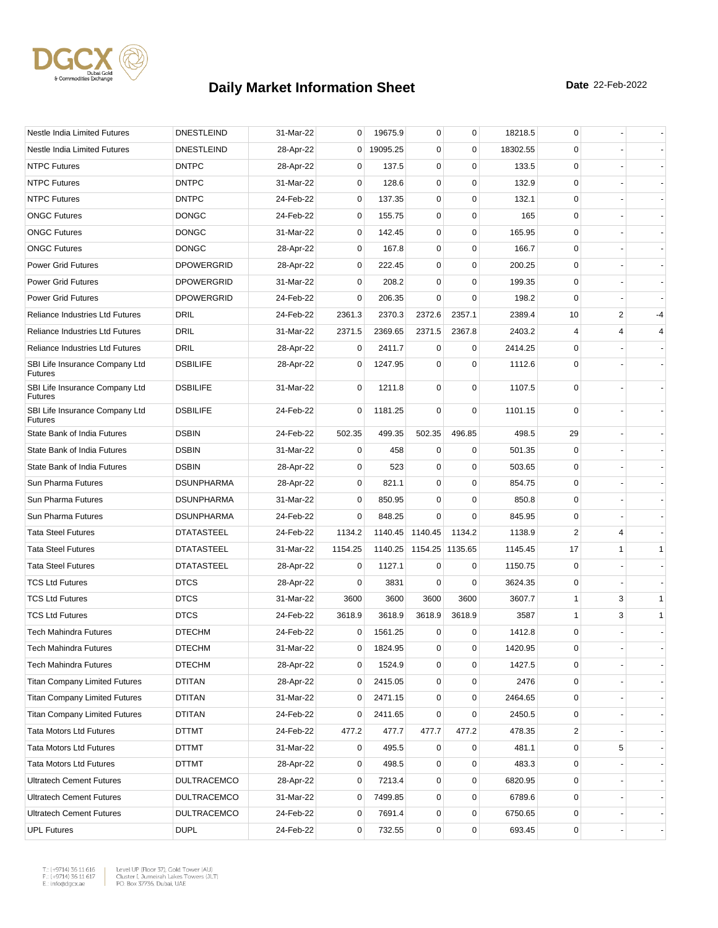

| Nestle India Limited Futures                     | <b>DNESTLEIND</b>  | 31-Mar-22 | 0              | 19675.9  | 0               | $\mathbf 0$ | 18218.5  | 0            |   |              |
|--------------------------------------------------|--------------------|-----------|----------------|----------|-----------------|-------------|----------|--------------|---|--------------|
| Nestle India Limited Futures                     | <b>DNESTLEIND</b>  | 28-Apr-22 | $\overline{0}$ | 19095.25 | 0               | $\mathbf 0$ | 18302.55 | 0            |   |              |
| <b>NTPC Futures</b>                              | <b>DNTPC</b>       | 28-Apr-22 | 0              | 137.5    | 0               | $\mathbf 0$ | 133.5    | 0            |   |              |
| <b>NTPC Futures</b>                              | <b>DNTPC</b>       | 31-Mar-22 | 0              | 128.6    | 0               | $\mathbf 0$ | 132.9    | $\mathbf 0$  |   |              |
| <b>NTPC Futures</b>                              | <b>DNTPC</b>       | 24-Feb-22 | 0              | 137.35   | 0               | $\mathbf 0$ | 132.1    | $\mathbf 0$  |   |              |
| <b>ONGC Futures</b>                              | <b>DONGC</b>       | 24-Feb-22 | 0              | 155.75   | 0               | $\mathbf 0$ | 165      | $\mathbf 0$  |   |              |
| <b>ONGC Futures</b>                              | <b>DONGC</b>       | 31-Mar-22 | 0              | 142.45   | $\mathbf 0$     | $\mathbf 0$ | 165.95   | 0            |   |              |
| <b>ONGC Futures</b>                              | <b>DONGC</b>       | 28-Apr-22 | 0              | 167.8    | 0               | 0           | 166.7    | 0            |   |              |
| <b>Power Grid Futures</b>                        | <b>DPOWERGRID</b>  | 28-Apr-22 | 0              | 222.45   | 0               | $\mathbf 0$ | 200.25   | $\mathbf 0$  |   |              |
| <b>Power Grid Futures</b>                        | <b>DPOWERGRID</b>  | 31-Mar-22 | 0              | 208.2    | 0               | $\mathbf 0$ | 199.35   | 0            |   |              |
| <b>Power Grid Futures</b>                        | <b>DPOWERGRID</b>  | 24-Feb-22 | $\mathbf 0$    | 206.35   | $\Omega$        | $\mathbf 0$ | 198.2    | 0            |   |              |
| <b>Reliance Industries Ltd Futures</b>           | DRIL               | 24-Feb-22 | 2361.3         | 2370.3   | 2372.6          | 2357.1      | 2389.4   | 10           | 2 | $-4$         |
| <b>Reliance Industries Ltd Futures</b>           | DRIL               | 31-Mar-22 | 2371.5         | 2369.65  | 2371.5          | 2367.8      | 2403.2   | 4            | 4 | 4            |
| <b>Reliance Industries Ltd Futures</b>           | <b>DRIL</b>        | 28-Apr-22 | 0              | 2411.7   | $\mathbf 0$     | 0           | 2414.25  | 0            |   |              |
| SBI Life Insurance Company Ltd<br><b>Futures</b> | <b>DSBILIFE</b>    | 28-Apr-22 | 0              | 1247.95  | $\mathbf 0$     | $\mathbf 0$ | 1112.6   | $\mathbf 0$  |   |              |
| SBI Life Insurance Company Ltd<br><b>Futures</b> | <b>DSBILIFE</b>    | 31-Mar-22 | $\mathbf 0$    | 1211.8   | 0               | 0           | 1107.5   | 0            |   |              |
| SBI Life Insurance Company Ltd<br><b>Futures</b> | <b>DSBILIFE</b>    | 24-Feb-22 | 0              | 1181.25  | $\mathbf 0$     | $\mathbf 0$ | 1101.15  | 0            |   |              |
| State Bank of India Futures                      | <b>DSBIN</b>       | 24-Feb-22 | 502.35         | 499.35   | 502.35          | 496.85      | 498.5    | 29           |   |              |
| State Bank of India Futures                      | <b>DSBIN</b>       | 31-Mar-22 | 0              | 458      | 0               | 0           | 501.35   | $\mathbf 0$  |   |              |
| State Bank of India Futures                      | <b>DSBIN</b>       | 28-Apr-22 | 0              | 523      | 0               | $\mathbf 0$ | 503.65   | 0            |   |              |
| Sun Pharma Futures                               | <b>DSUNPHARMA</b>  | 28-Apr-22 | 0              | 821.1    | $\mathbf 0$     | $\mathbf 0$ | 854.75   | $\mathbf 0$  |   |              |
| Sun Pharma Futures                               | <b>DSUNPHARMA</b>  | 31-Mar-22 | 0              | 850.95   | $\Omega$        | 0           | 850.8    | 0            |   |              |
| Sun Pharma Futures                               | <b>DSUNPHARMA</b>  | 24-Feb-22 | $\mathbf 0$    | 848.25   | $\Omega$        | $\mathbf 0$ | 845.95   | 0            |   |              |
| <b>Tata Steel Futures</b>                        | <b>DTATASTEEL</b>  | 24-Feb-22 | 1134.2         | 1140.45  | 1140.45         | 1134.2      | 1138.9   | 2            | 4 |              |
| <b>Tata Steel Futures</b>                        | <b>DTATASTEEL</b>  | 31-Mar-22 | 1154.25        | 1140.25  | 1154.25 1135.65 |             | 1145.45  | 17           | 1 | $\mathbf{1}$ |
| <b>Tata Steel Futures</b>                        | <b>DTATASTEEL</b>  | 28-Apr-22 | 0              | 1127.1   | $\Omega$        | 0           | 1150.75  | 0            |   |              |
| <b>TCS Ltd Futures</b>                           | <b>DTCS</b>        | 28-Apr-22 | 0              | 3831     | $\Omega$        | $\mathbf 0$ | 3624.35  | $\mathbf 0$  |   |              |
| <b>TCS Ltd Futures</b>                           | <b>DTCS</b>        | 31-Mar-22 | 3600           | 3600     | 3600            | 3600        | 3607.7   | $\mathbf{1}$ | 3 | $\mathbf{1}$ |
| <b>TCS Ltd Futures</b>                           | <b>DTCS</b>        | 24-Feb-22 | 3618.9         | 3618.9   | 3618.9          | 3618.9      | 3587     | 1            | 3 | $\mathbf{1}$ |
| <b>Tech Mahindra Futures</b>                     | <b>DTECHM</b>      | 24-Feb-22 | 0              | 1561.25  | 0               | 0           | 1412.8   | 0            |   |              |
| <b>Tech Mahindra Futures</b>                     | <b>DTECHM</b>      | 31-Mar-22 | $\overline{0}$ | 1824.95  | 0               | 0           | 1420.95  | 0            |   |              |
| Tech Mahindra Futures                            | <b>DTECHM</b>      | 28-Apr-22 | 0              | 1524.9   | 0               | $\mathbf 0$ | 1427.5   | 0            |   |              |
| <b>Titan Company Limited Futures</b>             | DTITAN             | 28-Apr-22 | 0              | 2415.05  | 0               | $\mathbf 0$ | 2476     | 0            |   |              |
| <b>Titan Company Limited Futures</b>             | <b>DTITAN</b>      | 31-Mar-22 | 0              | 2471.15  | 0               | $\mathbf 0$ | 2464.65  | 0            |   |              |
| <b>Titan Company Limited Futures</b>             | DTITAN             | 24-Feb-22 | 0              | 2411.65  | 0               | 0           | 2450.5   | 0            |   |              |
| <b>Tata Motors Ltd Futures</b>                   | DTTMT              | 24-Feb-22 | 477.2          | 477.7    | 477.7           | 477.2       | 478.35   | 2            |   |              |
| <b>Tata Motors Ltd Futures</b>                   | DTTMT              | 31-Mar-22 | 0              | 495.5    | 0               | 0           | 481.1    | 0            | 5 |              |
| <b>Tata Motors Ltd Futures</b>                   | DTTMT              | 28-Apr-22 | 0              | 498.5    | 0               | $\mathbf 0$ | 483.3    | 0            |   |              |
| <b>Ultratech Cement Futures</b>                  | <b>DULTRACEMCO</b> | 28-Apr-22 | 0              | 7213.4   | 0               | 0           | 6820.95  | 0            |   |              |
| <b>Ultratech Cement Futures</b>                  | <b>DULTRACEMCO</b> | 31-Mar-22 | 0              | 7499.85  | 0               | 0           | 6789.6   | 0            |   |              |
| <b>Ultratech Cement Futures</b>                  | <b>DULTRACEMCO</b> | 24-Feb-22 | 0              | 7691.4   | 0               | $\pmb{0}$   | 6750.65  | 0            |   |              |
| <b>UPL Futures</b>                               | <b>DUPL</b>        | 24-Feb-22 | 0              | 732.55   | 0               | $\pmb{0}$   | 693.45   | 0            |   |              |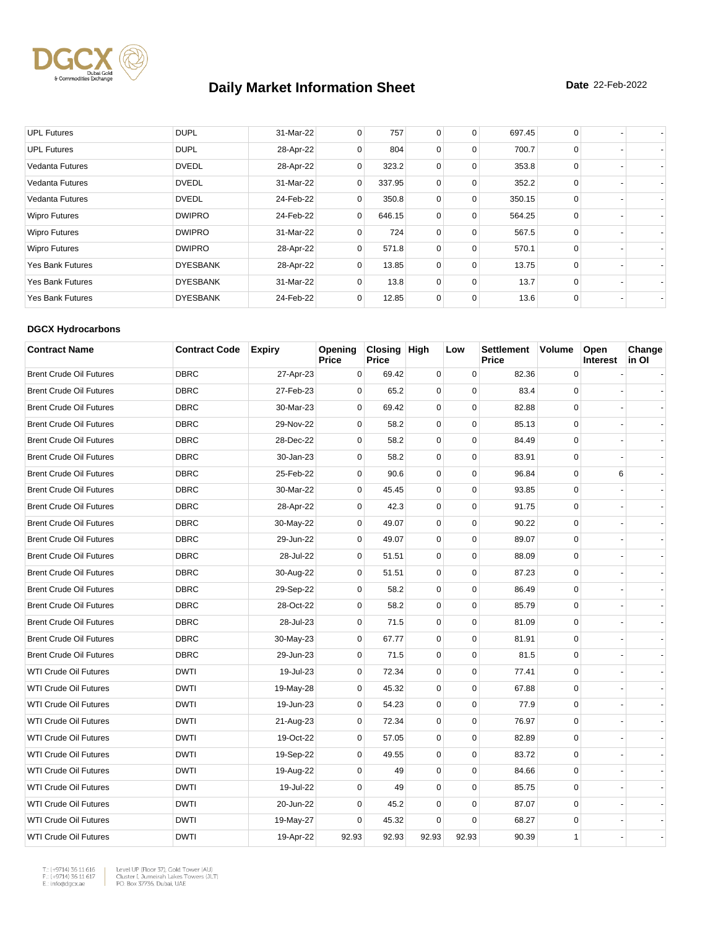

| <b>UPL Futures</b>      | <b>DUPL</b>     | 31-Mar-22 | 0              | 757    | 0 | 0 | 697.45 | 0        |  |
|-------------------------|-----------------|-----------|----------------|--------|---|---|--------|----------|--|
| <b>UPL Futures</b>      | <b>DUPL</b>     | 28-Apr-22 | 0              | 804    | 0 | 0 | 700.7  | $\Omega$ |  |
| <b>Vedanta Futures</b>  | <b>DVEDL</b>    | 28-Apr-22 | 0              | 323.2  | 0 | 0 | 353.8  | $\Omega$ |  |
| <b>Vedanta Futures</b>  | <b>DVEDL</b>    | 31-Mar-22 | 0              | 337.95 | 0 | 0 | 352.2  | 0        |  |
| Vedanta Futures         | <b>DVEDL</b>    | 24-Feb-22 | 0              | 350.8  | 0 | 0 | 350.15 | $\Omega$ |  |
| <b>Wipro Futures</b>    | <b>DWIPRO</b>   | 24-Feb-22 | $\overline{0}$ | 646.15 | 0 | 0 | 564.25 | $\Omega$ |  |
| <b>Wipro Futures</b>    | <b>DWIPRO</b>   | 31-Mar-22 | 0              | 724    | 0 | 0 | 567.5  | $\Omega$ |  |
| <b>Wipro Futures</b>    | <b>DWIPRO</b>   | 28-Apr-22 | 0              | 571.8  | 0 | 0 | 570.1  | $\Omega$ |  |
| <b>Yes Bank Futures</b> | <b>DYESBANK</b> | 28-Apr-22 | $\Omega$       | 13.85  | 0 | 0 | 13.75  | $\Omega$ |  |
| <b>Yes Bank Futures</b> | <b>DYESBANK</b> | 31-Mar-22 | 0              | 13.8   | 0 | 0 | 13.7   | 0        |  |
| <b>Yes Bank Futures</b> | <b>DYESBANK</b> | 24-Feb-22 | 0              | 12.85  | 0 | 0 | 13.6   | $\Omega$ |  |

#### **DGCX Hydrocarbons**

| <b>Contract Name</b>           | <b>Contract Code</b> | <b>Expiry</b> | Opening<br>Price | Closing High<br><b>Price</b> |             | Low         | <b>Settlement</b><br>Price | <b>Volume</b> | Open<br><b>Interest</b> | Change<br>in Ol |
|--------------------------------|----------------------|---------------|------------------|------------------------------|-------------|-------------|----------------------------|---------------|-------------------------|-----------------|
| <b>Brent Crude Oil Futures</b> | <b>DBRC</b>          | 27-Apr-23     | 0                | 69.42                        | $\mathbf 0$ | 0           | 82.36                      | $\mathbf 0$   |                         |                 |
| <b>Brent Crude Oil Futures</b> | <b>DBRC</b>          | 27-Feb-23     | $\Omega$         | 65.2                         | 0           | $\Omega$    | 83.4                       | $\Omega$      |                         |                 |
| <b>Brent Crude Oil Futures</b> | <b>DBRC</b>          | 30-Mar-23     | 0                | 69.42                        | 0           | $\mathbf 0$ | 82.88                      | $\mathbf 0$   |                         |                 |
| <b>Brent Crude Oil Futures</b> | <b>DBRC</b>          | 29-Nov-22     | $\mathbf 0$      | 58.2                         | $\mathbf 0$ | $\mathbf 0$ | 85.13                      | $\mathbf 0$   |                         |                 |
| <b>Brent Crude Oil Futures</b> | <b>DBRC</b>          | 28-Dec-22     | $\mathbf 0$      | 58.2                         | 0           | $\mathbf 0$ | 84.49                      | $\mathbf 0$   |                         |                 |
| <b>Brent Crude Oil Futures</b> | <b>DBRC</b>          | 30-Jan-23     | $\mathbf 0$      | 58.2                         | $\mathbf 0$ | $\mathbf 0$ | 83.91                      | $\mathbf 0$   |                         |                 |
| <b>Brent Crude Oil Futures</b> | <b>DBRC</b>          | 25-Feb-22     | 0                | 90.6                         | $\mathbf 0$ | $\mathbf 0$ | 96.84                      | $\mathbf 0$   | 6                       |                 |
| <b>Brent Crude Oil Futures</b> | <b>DBRC</b>          | 30-Mar-22     | 0                | 45.45                        | 0           | $\pmb{0}$   | 93.85                      | $\mathsf 0$   |                         |                 |
| <b>Brent Crude Oil Futures</b> | <b>DBRC</b>          | 28-Apr-22     | $\mathbf 0$      | 42.3                         | 0           | $\mathbf 0$ | 91.75                      | $\mathbf 0$   |                         |                 |
| <b>Brent Crude Oil Futures</b> | <b>DBRC</b>          | 30-May-22     | 0                | 49.07                        | 0           | $\mathbf 0$ | 90.22                      | $\mathbf 0$   |                         |                 |
| <b>Brent Crude Oil Futures</b> | <b>DBRC</b>          | 29-Jun-22     | $\Omega$         | 49.07                        | $\mathbf 0$ | $\mathbf 0$ | 89.07                      | $\mathbf 0$   |                         |                 |
| <b>Brent Crude Oil Futures</b> | <b>DBRC</b>          | 28-Jul-22     | $\mathbf 0$      | 51.51                        | 0           | $\mathbf 0$ | 88.09                      | $\mathbf 0$   |                         |                 |
| <b>Brent Crude Oil Futures</b> | <b>DBRC</b>          | 30-Aug-22     | 0                | 51.51                        | 0           | $\mathbf 0$ | 87.23                      | $\mathsf 0$   |                         |                 |
| <b>Brent Crude Oil Futures</b> | <b>DBRC</b>          | 29-Sep-22     | $\mathbf 0$      | 58.2                         | $\mathbf 0$ | $\Omega$    | 86.49                      | $\mathbf 0$   |                         |                 |
| <b>Brent Crude Oil Futures</b> | <b>DBRC</b>          | 28-Oct-22     | $\mathbf 0$      | 58.2                         | 0           | $\mathbf 0$ | 85.79                      | $\mathbf 0$   |                         |                 |
| <b>Brent Crude Oil Futures</b> | <b>DBRC</b>          | 28-Jul-23     | $\mathbf 0$      | 71.5                         | 0           | 0           | 81.09                      | 0             |                         |                 |
| <b>Brent Crude Oil Futures</b> | <b>DBRC</b>          | 30-May-23     | $\mathbf 0$      | 67.77                        | 0           | $\mathbf 0$ | 81.91                      | $\mathbf 0$   |                         |                 |
| <b>Brent Crude Oil Futures</b> | <b>DBRC</b>          | 29-Jun-23     | 0                | 71.5                         | 0           | 0           | 81.5                       | $\mathbf 0$   |                         |                 |
| <b>WTI Crude Oil Futures</b>   | <b>DWTI</b>          | 19-Jul-23     | $\Omega$         | 72.34                        | 0           | $\Omega$    | 77.41                      | $\mathbf 0$   |                         |                 |
| <b>WTI Crude Oil Futures</b>   | <b>DWTI</b>          | 19-May-28     | 0                | 45.32                        | 0           | $\mathbf 0$ | 67.88                      | $\mathbf 0$   |                         |                 |
| <b>WTI Crude Oil Futures</b>   | <b>DWTI</b>          | 19-Jun-23     | $\mathbf 0$      | 54.23                        | $\mathbf 0$ | $\mathbf 0$ | 77.9                       | $\mathbf 0$   |                         |                 |
| <b>WTI Crude Oil Futures</b>   | <b>DWTI</b>          | 21-Aug-23     | $\mathbf 0$      | 72.34                        | 0           | $\mathbf 0$ | 76.97                      | $\mathbf 0$   |                         |                 |
| <b>WTI Crude Oil Futures</b>   | <b>DWTI</b>          | 19-Oct-22     | 0                | 57.05                        | 0           | $\mathbf 0$ | 82.89                      | $\mathbf 0$   |                         |                 |
| <b>WTI Crude Oil Futures</b>   | <b>DWTI</b>          | 19-Sep-22     | $\Omega$         | 49.55                        | 0           | $\mathbf 0$ | 83.72                      | $\mathbf 0$   |                         |                 |
| <b>WTI Crude Oil Futures</b>   | <b>DWTI</b>          | 19-Aug-22     | $\mathbf 0$      | 49                           | $\mathbf 0$ | $\mathbf 0$ | 84.66                      | $\mathbf 0$   |                         |                 |
| <b>WTI Crude Oil Futures</b>   | <b>DWTI</b>          | 19-Jul-22     | $\mathbf 0$      | 49                           | $\mathbf 0$ | $\mathbf 0$ | 85.75                      | $\mathbf 0$   |                         |                 |
| <b>WTI Crude Oil Futures</b>   | <b>DWTI</b>          | 20-Jun-22     | 0                | 45.2                         | $\mathbf 0$ | $\mathbf 0$ | 87.07                      | $\mathbf 0$   |                         |                 |
| <b>WTI Crude Oil Futures</b>   | <b>DWTI</b>          | 19-May-27     | 0                | 45.32                        | 0           | $\mathbf 0$ | 68.27                      | $\mathsf 0$   |                         |                 |
| <b>WTI Crude Oil Futures</b>   | <b>DWTI</b>          | 19-Apr-22     | 92.93            | 92.93                        | 92.93       | 92.93       | 90.39                      | $\mathbf{1}$  |                         |                 |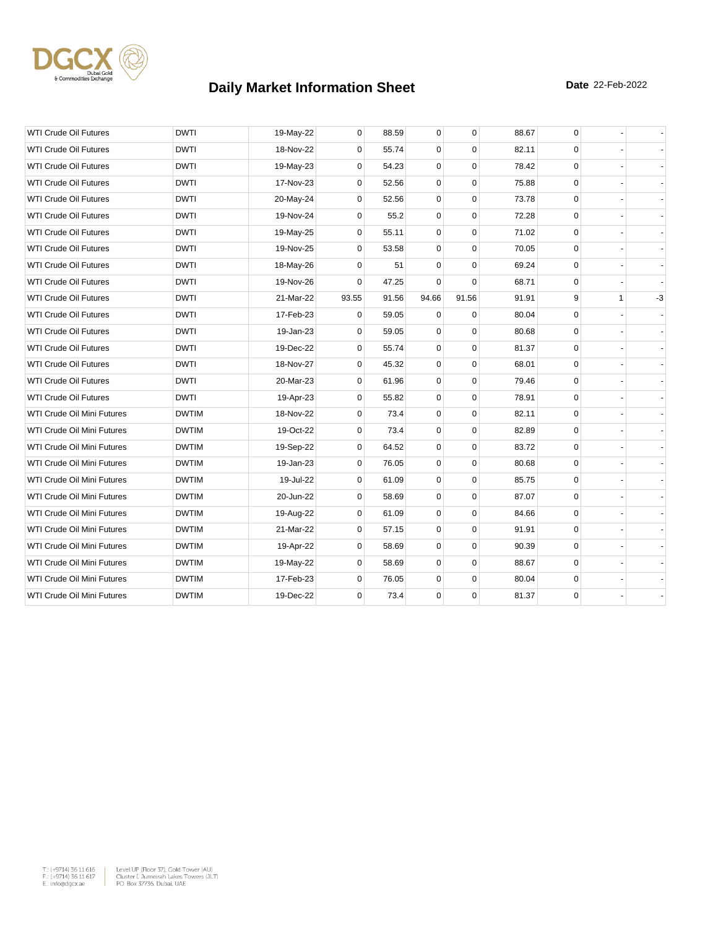

| <b>DWTI</b><br>0<br>88.59<br>88.67<br><b>WTI Crude Oil Futures</b><br>19-May-22<br>0<br>$\mathbf 0$<br>0<br>0<br>0<br><b>DWTI</b><br>18-Nov-22<br>55.74<br>$\Omega$<br>82.11<br>$\mathbf 0$<br><b>WTI Crude Oil Futures</b><br><b>WTI Crude Oil Futures</b><br><b>DWTI</b><br>$\mathbf 0$<br>54.23<br>$\mathbf 0$<br>$\mathbf 0$<br>78.42<br>$\mathbf 0$<br>19-May-23<br>$\mathbf 0$<br>$\mathbf 0$<br><b>WTI Crude Oil Futures</b><br><b>DWTI</b><br>17-Nov-23<br>$\mathbf 0$<br>52.56<br>75.88<br>$\mathbf 0$<br><b>WTI Crude Oil Futures</b><br><b>DWTI</b><br>20-May-24<br>0<br>52.56<br>$\mathbf 0$<br>$\mathbf 0$<br>73.78<br>$\mathbf 0$<br><b>WTI Crude Oil Futures</b><br>0<br>55.2<br>$\mathbf 0$<br>$\mathbf 0$<br>72.28<br>$\mathbf 0$<br><b>DWTI</b><br>19-Nov-24<br>0<br>0<br>$\mathbf 0$<br>0<br><b>WTI Crude Oil Futures</b><br><b>DWTI</b><br>19-May-25<br>55.11<br>71.02<br><b>WTI Crude Oil Futures</b><br><b>DWTI</b><br>19-Nov-25<br>$\Omega$<br>53.58<br>$\mathbf 0$<br>$\Omega$<br>70.05<br>$\mathbf 0$<br>0<br>0<br>$\mathbf 0$<br>0<br>WTI Crude Oil Futures<br><b>DWTI</b><br>51<br>69.24<br>18-May-26<br><b>WTI Crude Oil Futures</b><br><b>DWTI</b><br>19-Nov-26<br>0<br>47.25<br>$\mathbf 0$<br>$\mathbf 0$<br>68.71<br>$\mathbf 0$<br><b>WTI Crude Oil Futures</b><br><b>DWTI</b><br>93.55<br>91.56<br>94.66<br>91.56<br>91.91<br>9<br>$\mathbf{1}$<br>21-Mar-22<br><b>WTI Crude Oil Futures</b><br><b>DWTI</b><br>17-Feb-23<br>$\mathbf 0$<br>59.05<br>$\mathbf 0$<br>$\Omega$<br>80.04<br>0<br>$\mathbf 0$<br>0<br><b>WTI Crude Oil Futures</b><br><b>DWTI</b><br>19-Jan-23<br>0<br>59.05<br>$\mathbf 0$<br>80.68<br>0<br>0<br>$\Omega$<br><b>WTI Crude Oil Futures</b><br><b>DWTI</b><br>19-Dec-22<br>55.74<br>81.37<br>$\mathbf 0$<br>0<br>0<br>$\mathbf 0$<br><b>WTI Crude Oil Futures</b><br><b>DWTI</b><br>18-Nov-27<br>45.32<br>68.01<br>0<br>$\mathbf 0$<br>0<br>$\mathbf 0$<br>0<br><b>WTI Crude Oil Futures</b><br><b>DWTI</b><br>20-Mar-23<br>61.96<br>79.46<br><b>WTI Crude Oil Futures</b><br><b>DWTI</b><br>$\mathbf 0$<br>55.82<br>$\mathbf 0$<br>$\mathbf 0$<br>78.91<br>$\mathbf 0$<br>19-Apr-23<br>0<br>$\mathbf 0$<br>WTI Crude Oil Mini Futures<br><b>DWTIM</b><br>18-Nov-22<br>$\mathbf 0$<br>73.4<br>82.11<br>0<br>19-Oct-22<br>0<br>$\mathbf 0$<br>$\Omega$<br>$\mathbf 0$<br>WTI Crude Oil Mini Futures<br><b>DWTIM</b><br>73.4<br>82.89<br>WTI Crude Oil Mini Futures<br>0<br>64.52<br>$\mathbf 0$<br>$\mathbf 0$<br>83.72<br>0<br><b>DWTIM</b><br>19-Sep-22<br>0<br>0<br>$\mathbf 0$<br>80.68<br>0<br>WTI Crude Oil Mini Futures<br><b>DWTIM</b><br>19-Jan-23<br>76.05<br>19-Jul-22<br>$\Omega$<br>$\mathbf 0$<br>$\mathbf 0$<br>85.75<br>$\mathbf 0$<br>WTI Crude Oil Mini Futures<br><b>DWTIM</b><br>61.09<br>WTI Crude Oil Mini Futures<br><b>DWTIM</b><br>20-Jun-22<br>$\mathbf 0$<br>58.69<br>0<br>$\mathbf 0$<br>87.07<br>0<br>0<br>WTI Crude Oil Mini Futures<br><b>DWTIM</b><br>$\mathbf 0$<br>61.09<br>$\mathbf 0$<br>84.66<br>$\mathbf 0$<br>19-Aug-22<br>$\mathbf 0$<br>$\mathbf 0$<br>91.91<br>WTI Crude Oil Mini Futures<br><b>DWTIM</b><br>21-Mar-22<br>$\Omega$<br>57.15<br>0<br>0<br>WTI Crude Oil Mini Futures<br><b>DWTIM</b><br>19-Apr-22<br>58.69<br>0<br>$\mathbf 0$<br>90.39<br>0<br>$\mathbf 0$<br>0<br>$\mathbf 0$<br>88.67<br>$\mathbf 0$<br>WTI Crude Oil Mini Futures<br><b>DWTIM</b><br>19-May-22<br>58.69<br>0<br>0<br>17-Feb-23<br>$\Omega$<br>76.05<br>$\mathbf 0$<br>80.04<br>WTI Crude Oil Mini Futures<br><b>DWTIM</b><br>0<br>81.37<br>0<br>WTI Crude Oil Mini Futures<br><b>DWTIM</b><br>19-Dec-22<br>$\mathbf 0$<br>73.4<br>0 |  |  |  |  |  |    |
|-----------------------------------------------------------------------------------------------------------------------------------------------------------------------------------------------------------------------------------------------------------------------------------------------------------------------------------------------------------------------------------------------------------------------------------------------------------------------------------------------------------------------------------------------------------------------------------------------------------------------------------------------------------------------------------------------------------------------------------------------------------------------------------------------------------------------------------------------------------------------------------------------------------------------------------------------------------------------------------------------------------------------------------------------------------------------------------------------------------------------------------------------------------------------------------------------------------------------------------------------------------------------------------------------------------------------------------------------------------------------------------------------------------------------------------------------------------------------------------------------------------------------------------------------------------------------------------------------------------------------------------------------------------------------------------------------------------------------------------------------------------------------------------------------------------------------------------------------------------------------------------------------------------------------------------------------------------------------------------------------------------------------------------------------------------------------------------------------------------------------------------------------------------------------------------------------------------------------------------------------------------------------------------------------------------------------------------------------------------------------------------------------------------------------------------------------------------------------------------------------------------------------------------------------------------------------------------------------------------------------------------------------------------------------------------------------------------------------------------------------------------------------------------------------------------------------------------------------------------------------------------------------------------------------------------------------------------------------------------------------------------------------------------------------------------------------------------------------------------------------------------------------------------------------------------------------------------------------------------------------------------------------------------------------------------------------------------------------------------------------------------------------------------------------------------------------------------------------------------------------------------------------------------------------------------------------------------------------------------------------------|--|--|--|--|--|----|
|                                                                                                                                                                                                                                                                                                                                                                                                                                                                                                                                                                                                                                                                                                                                                                                                                                                                                                                                                                                                                                                                                                                                                                                                                                                                                                                                                                                                                                                                                                                                                                                                                                                                                                                                                                                                                                                                                                                                                                                                                                                                                                                                                                                                                                                                                                                                                                                                                                                                                                                                                                                                                                                                                                                                                                                                                                                                                                                                                                                                                                                                                                                                                                                                                                                                                                                                                                                                                                                                                                                                                                                                                             |  |  |  |  |  |    |
|                                                                                                                                                                                                                                                                                                                                                                                                                                                                                                                                                                                                                                                                                                                                                                                                                                                                                                                                                                                                                                                                                                                                                                                                                                                                                                                                                                                                                                                                                                                                                                                                                                                                                                                                                                                                                                                                                                                                                                                                                                                                                                                                                                                                                                                                                                                                                                                                                                                                                                                                                                                                                                                                                                                                                                                                                                                                                                                                                                                                                                                                                                                                                                                                                                                                                                                                                                                                                                                                                                                                                                                                                             |  |  |  |  |  |    |
|                                                                                                                                                                                                                                                                                                                                                                                                                                                                                                                                                                                                                                                                                                                                                                                                                                                                                                                                                                                                                                                                                                                                                                                                                                                                                                                                                                                                                                                                                                                                                                                                                                                                                                                                                                                                                                                                                                                                                                                                                                                                                                                                                                                                                                                                                                                                                                                                                                                                                                                                                                                                                                                                                                                                                                                                                                                                                                                                                                                                                                                                                                                                                                                                                                                                                                                                                                                                                                                                                                                                                                                                                             |  |  |  |  |  |    |
|                                                                                                                                                                                                                                                                                                                                                                                                                                                                                                                                                                                                                                                                                                                                                                                                                                                                                                                                                                                                                                                                                                                                                                                                                                                                                                                                                                                                                                                                                                                                                                                                                                                                                                                                                                                                                                                                                                                                                                                                                                                                                                                                                                                                                                                                                                                                                                                                                                                                                                                                                                                                                                                                                                                                                                                                                                                                                                                                                                                                                                                                                                                                                                                                                                                                                                                                                                                                                                                                                                                                                                                                                             |  |  |  |  |  |    |
|                                                                                                                                                                                                                                                                                                                                                                                                                                                                                                                                                                                                                                                                                                                                                                                                                                                                                                                                                                                                                                                                                                                                                                                                                                                                                                                                                                                                                                                                                                                                                                                                                                                                                                                                                                                                                                                                                                                                                                                                                                                                                                                                                                                                                                                                                                                                                                                                                                                                                                                                                                                                                                                                                                                                                                                                                                                                                                                                                                                                                                                                                                                                                                                                                                                                                                                                                                                                                                                                                                                                                                                                                             |  |  |  |  |  |    |
|                                                                                                                                                                                                                                                                                                                                                                                                                                                                                                                                                                                                                                                                                                                                                                                                                                                                                                                                                                                                                                                                                                                                                                                                                                                                                                                                                                                                                                                                                                                                                                                                                                                                                                                                                                                                                                                                                                                                                                                                                                                                                                                                                                                                                                                                                                                                                                                                                                                                                                                                                                                                                                                                                                                                                                                                                                                                                                                                                                                                                                                                                                                                                                                                                                                                                                                                                                                                                                                                                                                                                                                                                             |  |  |  |  |  |    |
|                                                                                                                                                                                                                                                                                                                                                                                                                                                                                                                                                                                                                                                                                                                                                                                                                                                                                                                                                                                                                                                                                                                                                                                                                                                                                                                                                                                                                                                                                                                                                                                                                                                                                                                                                                                                                                                                                                                                                                                                                                                                                                                                                                                                                                                                                                                                                                                                                                                                                                                                                                                                                                                                                                                                                                                                                                                                                                                                                                                                                                                                                                                                                                                                                                                                                                                                                                                                                                                                                                                                                                                                                             |  |  |  |  |  |    |
|                                                                                                                                                                                                                                                                                                                                                                                                                                                                                                                                                                                                                                                                                                                                                                                                                                                                                                                                                                                                                                                                                                                                                                                                                                                                                                                                                                                                                                                                                                                                                                                                                                                                                                                                                                                                                                                                                                                                                                                                                                                                                                                                                                                                                                                                                                                                                                                                                                                                                                                                                                                                                                                                                                                                                                                                                                                                                                                                                                                                                                                                                                                                                                                                                                                                                                                                                                                                                                                                                                                                                                                                                             |  |  |  |  |  |    |
|                                                                                                                                                                                                                                                                                                                                                                                                                                                                                                                                                                                                                                                                                                                                                                                                                                                                                                                                                                                                                                                                                                                                                                                                                                                                                                                                                                                                                                                                                                                                                                                                                                                                                                                                                                                                                                                                                                                                                                                                                                                                                                                                                                                                                                                                                                                                                                                                                                                                                                                                                                                                                                                                                                                                                                                                                                                                                                                                                                                                                                                                                                                                                                                                                                                                                                                                                                                                                                                                                                                                                                                                                             |  |  |  |  |  |    |
|                                                                                                                                                                                                                                                                                                                                                                                                                                                                                                                                                                                                                                                                                                                                                                                                                                                                                                                                                                                                                                                                                                                                                                                                                                                                                                                                                                                                                                                                                                                                                                                                                                                                                                                                                                                                                                                                                                                                                                                                                                                                                                                                                                                                                                                                                                                                                                                                                                                                                                                                                                                                                                                                                                                                                                                                                                                                                                                                                                                                                                                                                                                                                                                                                                                                                                                                                                                                                                                                                                                                                                                                                             |  |  |  |  |  |    |
|                                                                                                                                                                                                                                                                                                                                                                                                                                                                                                                                                                                                                                                                                                                                                                                                                                                                                                                                                                                                                                                                                                                                                                                                                                                                                                                                                                                                                                                                                                                                                                                                                                                                                                                                                                                                                                                                                                                                                                                                                                                                                                                                                                                                                                                                                                                                                                                                                                                                                                                                                                                                                                                                                                                                                                                                                                                                                                                                                                                                                                                                                                                                                                                                                                                                                                                                                                                                                                                                                                                                                                                                                             |  |  |  |  |  | -3 |
|                                                                                                                                                                                                                                                                                                                                                                                                                                                                                                                                                                                                                                                                                                                                                                                                                                                                                                                                                                                                                                                                                                                                                                                                                                                                                                                                                                                                                                                                                                                                                                                                                                                                                                                                                                                                                                                                                                                                                                                                                                                                                                                                                                                                                                                                                                                                                                                                                                                                                                                                                                                                                                                                                                                                                                                                                                                                                                                                                                                                                                                                                                                                                                                                                                                                                                                                                                                                                                                                                                                                                                                                                             |  |  |  |  |  |    |
|                                                                                                                                                                                                                                                                                                                                                                                                                                                                                                                                                                                                                                                                                                                                                                                                                                                                                                                                                                                                                                                                                                                                                                                                                                                                                                                                                                                                                                                                                                                                                                                                                                                                                                                                                                                                                                                                                                                                                                                                                                                                                                                                                                                                                                                                                                                                                                                                                                                                                                                                                                                                                                                                                                                                                                                                                                                                                                                                                                                                                                                                                                                                                                                                                                                                                                                                                                                                                                                                                                                                                                                                                             |  |  |  |  |  |    |
|                                                                                                                                                                                                                                                                                                                                                                                                                                                                                                                                                                                                                                                                                                                                                                                                                                                                                                                                                                                                                                                                                                                                                                                                                                                                                                                                                                                                                                                                                                                                                                                                                                                                                                                                                                                                                                                                                                                                                                                                                                                                                                                                                                                                                                                                                                                                                                                                                                                                                                                                                                                                                                                                                                                                                                                                                                                                                                                                                                                                                                                                                                                                                                                                                                                                                                                                                                                                                                                                                                                                                                                                                             |  |  |  |  |  |    |
|                                                                                                                                                                                                                                                                                                                                                                                                                                                                                                                                                                                                                                                                                                                                                                                                                                                                                                                                                                                                                                                                                                                                                                                                                                                                                                                                                                                                                                                                                                                                                                                                                                                                                                                                                                                                                                                                                                                                                                                                                                                                                                                                                                                                                                                                                                                                                                                                                                                                                                                                                                                                                                                                                                                                                                                                                                                                                                                                                                                                                                                                                                                                                                                                                                                                                                                                                                                                                                                                                                                                                                                                                             |  |  |  |  |  |    |
|                                                                                                                                                                                                                                                                                                                                                                                                                                                                                                                                                                                                                                                                                                                                                                                                                                                                                                                                                                                                                                                                                                                                                                                                                                                                                                                                                                                                                                                                                                                                                                                                                                                                                                                                                                                                                                                                                                                                                                                                                                                                                                                                                                                                                                                                                                                                                                                                                                                                                                                                                                                                                                                                                                                                                                                                                                                                                                                                                                                                                                                                                                                                                                                                                                                                                                                                                                                                                                                                                                                                                                                                                             |  |  |  |  |  |    |
|                                                                                                                                                                                                                                                                                                                                                                                                                                                                                                                                                                                                                                                                                                                                                                                                                                                                                                                                                                                                                                                                                                                                                                                                                                                                                                                                                                                                                                                                                                                                                                                                                                                                                                                                                                                                                                                                                                                                                                                                                                                                                                                                                                                                                                                                                                                                                                                                                                                                                                                                                                                                                                                                                                                                                                                                                                                                                                                                                                                                                                                                                                                                                                                                                                                                                                                                                                                                                                                                                                                                                                                                                             |  |  |  |  |  |    |
|                                                                                                                                                                                                                                                                                                                                                                                                                                                                                                                                                                                                                                                                                                                                                                                                                                                                                                                                                                                                                                                                                                                                                                                                                                                                                                                                                                                                                                                                                                                                                                                                                                                                                                                                                                                                                                                                                                                                                                                                                                                                                                                                                                                                                                                                                                                                                                                                                                                                                                                                                                                                                                                                                                                                                                                                                                                                                                                                                                                                                                                                                                                                                                                                                                                                                                                                                                                                                                                                                                                                                                                                                             |  |  |  |  |  |    |
|                                                                                                                                                                                                                                                                                                                                                                                                                                                                                                                                                                                                                                                                                                                                                                                                                                                                                                                                                                                                                                                                                                                                                                                                                                                                                                                                                                                                                                                                                                                                                                                                                                                                                                                                                                                                                                                                                                                                                                                                                                                                                                                                                                                                                                                                                                                                                                                                                                                                                                                                                                                                                                                                                                                                                                                                                                                                                                                                                                                                                                                                                                                                                                                                                                                                                                                                                                                                                                                                                                                                                                                                                             |  |  |  |  |  |    |
|                                                                                                                                                                                                                                                                                                                                                                                                                                                                                                                                                                                                                                                                                                                                                                                                                                                                                                                                                                                                                                                                                                                                                                                                                                                                                                                                                                                                                                                                                                                                                                                                                                                                                                                                                                                                                                                                                                                                                                                                                                                                                                                                                                                                                                                                                                                                                                                                                                                                                                                                                                                                                                                                                                                                                                                                                                                                                                                                                                                                                                                                                                                                                                                                                                                                                                                                                                                                                                                                                                                                                                                                                             |  |  |  |  |  |    |
|                                                                                                                                                                                                                                                                                                                                                                                                                                                                                                                                                                                                                                                                                                                                                                                                                                                                                                                                                                                                                                                                                                                                                                                                                                                                                                                                                                                                                                                                                                                                                                                                                                                                                                                                                                                                                                                                                                                                                                                                                                                                                                                                                                                                                                                                                                                                                                                                                                                                                                                                                                                                                                                                                                                                                                                                                                                                                                                                                                                                                                                                                                                                                                                                                                                                                                                                                                                                                                                                                                                                                                                                                             |  |  |  |  |  |    |
|                                                                                                                                                                                                                                                                                                                                                                                                                                                                                                                                                                                                                                                                                                                                                                                                                                                                                                                                                                                                                                                                                                                                                                                                                                                                                                                                                                                                                                                                                                                                                                                                                                                                                                                                                                                                                                                                                                                                                                                                                                                                                                                                                                                                                                                                                                                                                                                                                                                                                                                                                                                                                                                                                                                                                                                                                                                                                                                                                                                                                                                                                                                                                                                                                                                                                                                                                                                                                                                                                                                                                                                                                             |  |  |  |  |  |    |
|                                                                                                                                                                                                                                                                                                                                                                                                                                                                                                                                                                                                                                                                                                                                                                                                                                                                                                                                                                                                                                                                                                                                                                                                                                                                                                                                                                                                                                                                                                                                                                                                                                                                                                                                                                                                                                                                                                                                                                                                                                                                                                                                                                                                                                                                                                                                                                                                                                                                                                                                                                                                                                                                                                                                                                                                                                                                                                                                                                                                                                                                                                                                                                                                                                                                                                                                                                                                                                                                                                                                                                                                                             |  |  |  |  |  |    |
|                                                                                                                                                                                                                                                                                                                                                                                                                                                                                                                                                                                                                                                                                                                                                                                                                                                                                                                                                                                                                                                                                                                                                                                                                                                                                                                                                                                                                                                                                                                                                                                                                                                                                                                                                                                                                                                                                                                                                                                                                                                                                                                                                                                                                                                                                                                                                                                                                                                                                                                                                                                                                                                                                                                                                                                                                                                                                                                                                                                                                                                                                                                                                                                                                                                                                                                                                                                                                                                                                                                                                                                                                             |  |  |  |  |  |    |
|                                                                                                                                                                                                                                                                                                                                                                                                                                                                                                                                                                                                                                                                                                                                                                                                                                                                                                                                                                                                                                                                                                                                                                                                                                                                                                                                                                                                                                                                                                                                                                                                                                                                                                                                                                                                                                                                                                                                                                                                                                                                                                                                                                                                                                                                                                                                                                                                                                                                                                                                                                                                                                                                                                                                                                                                                                                                                                                                                                                                                                                                                                                                                                                                                                                                                                                                                                                                                                                                                                                                                                                                                             |  |  |  |  |  |    |
|                                                                                                                                                                                                                                                                                                                                                                                                                                                                                                                                                                                                                                                                                                                                                                                                                                                                                                                                                                                                                                                                                                                                                                                                                                                                                                                                                                                                                                                                                                                                                                                                                                                                                                                                                                                                                                                                                                                                                                                                                                                                                                                                                                                                                                                                                                                                                                                                                                                                                                                                                                                                                                                                                                                                                                                                                                                                                                                                                                                                                                                                                                                                                                                                                                                                                                                                                                                                                                                                                                                                                                                                                             |  |  |  |  |  |    |
|                                                                                                                                                                                                                                                                                                                                                                                                                                                                                                                                                                                                                                                                                                                                                                                                                                                                                                                                                                                                                                                                                                                                                                                                                                                                                                                                                                                                                                                                                                                                                                                                                                                                                                                                                                                                                                                                                                                                                                                                                                                                                                                                                                                                                                                                                                                                                                                                                                                                                                                                                                                                                                                                                                                                                                                                                                                                                                                                                                                                                                                                                                                                                                                                                                                                                                                                                                                                                                                                                                                                                                                                                             |  |  |  |  |  |    |
|                                                                                                                                                                                                                                                                                                                                                                                                                                                                                                                                                                                                                                                                                                                                                                                                                                                                                                                                                                                                                                                                                                                                                                                                                                                                                                                                                                                                                                                                                                                                                                                                                                                                                                                                                                                                                                                                                                                                                                                                                                                                                                                                                                                                                                                                                                                                                                                                                                                                                                                                                                                                                                                                                                                                                                                                                                                                                                                                                                                                                                                                                                                                                                                                                                                                                                                                                                                                                                                                                                                                                                                                                             |  |  |  |  |  |    |
|                                                                                                                                                                                                                                                                                                                                                                                                                                                                                                                                                                                                                                                                                                                                                                                                                                                                                                                                                                                                                                                                                                                                                                                                                                                                                                                                                                                                                                                                                                                                                                                                                                                                                                                                                                                                                                                                                                                                                                                                                                                                                                                                                                                                                                                                                                                                                                                                                                                                                                                                                                                                                                                                                                                                                                                                                                                                                                                                                                                                                                                                                                                                                                                                                                                                                                                                                                                                                                                                                                                                                                                                                             |  |  |  |  |  |    |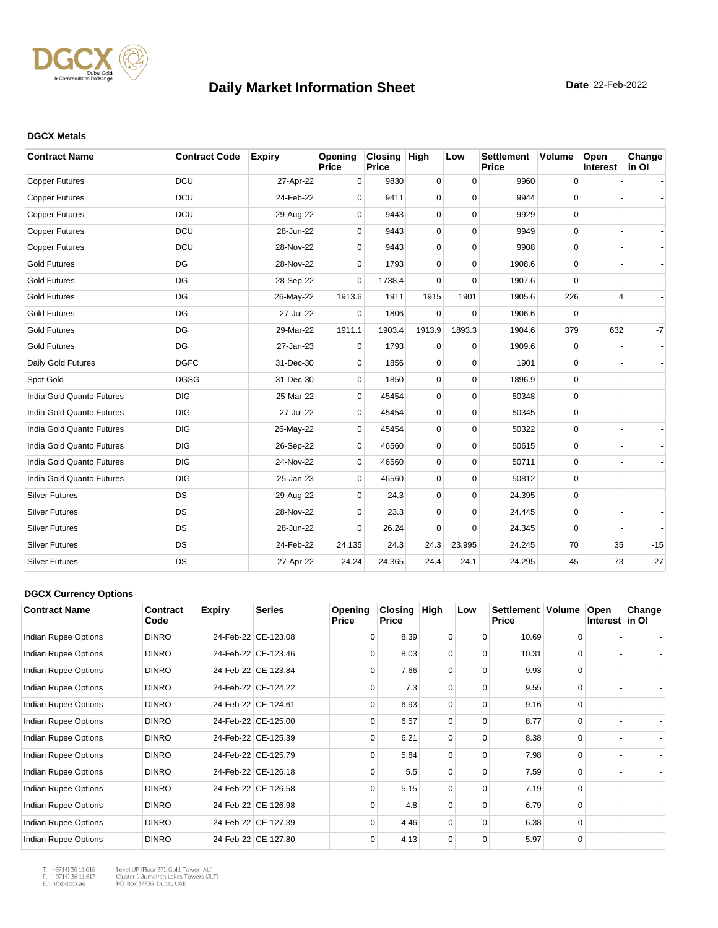

#### **DGCX Metals**

| <b>Contract Name</b>      | <b>Contract Code</b> | <b>Expiry</b> | Opening<br>Price | Closing High<br><b>Price</b> |             | Low         | <b>Settlement</b><br><b>Price</b> | <b>Volume</b> | Open<br>Interest | Change<br>in OI |
|---------------------------|----------------------|---------------|------------------|------------------------------|-------------|-------------|-----------------------------------|---------------|------------------|-----------------|
| <b>Copper Futures</b>     | <b>DCU</b>           | 27-Apr-22     | 0                | 9830                         | $\mathbf 0$ | $\mathbf 0$ | 9960                              | $\mathsf 0$   |                  |                 |
| <b>Copper Futures</b>     | DCU                  | 24-Feb-22     | $\Omega$         | 9411                         | 0           | $\Omega$    | 9944                              | $\mathbf 0$   |                  |                 |
| <b>Copper Futures</b>     | DCU                  | 29-Aug-22     | $\mathbf 0$      | 9443                         | 0           | $\mathbf 0$ | 9929                              | 0             |                  |                 |
| <b>Copper Futures</b>     | DCU                  | 28-Jun-22     | 0                | 9443                         | 0           | $\Omega$    | 9949                              | $\mathbf 0$   |                  |                 |
| <b>Copper Futures</b>     | DCU                  | 28-Nov-22     | $\Omega$         | 9443                         | 0           | $\Omega$    | 9908                              | 0             |                  |                 |
| <b>Gold Futures</b>       | DG                   | 28-Nov-22     | $\Omega$         | 1793                         | 0           | $\Omega$    | 1908.6                            | 0             |                  |                 |
| <b>Gold Futures</b>       | DG                   | 28-Sep-22     | $\Omega$         | 1738.4                       | $\Omega$    | $\Omega$    | 1907.6                            | $\Omega$      |                  |                 |
| <b>Gold Futures</b>       | DG                   | 26-May-22     | 1913.6           | 1911                         | 1915        | 1901        | 1905.6                            | 226           | 4                |                 |
| <b>Gold Futures</b>       | DG                   | 27-Jul-22     | $\Omega$         | 1806                         | 0           | $\Omega$    | 1906.6                            | $\Omega$      |                  |                 |
| <b>Gold Futures</b>       | DG                   | 29-Mar-22     | 1911.1           | 1903.4                       | 1913.9      | 1893.3      | 1904.6                            | 379           | 632              | $-7$            |
| <b>Gold Futures</b>       | DG                   | 27-Jan-23     | $\Omega$         | 1793                         | $\Omega$    | $\Omega$    | 1909.6                            | 0             |                  |                 |
| Daily Gold Futures        | <b>DGFC</b>          | 31-Dec-30     | $\Omega$         | 1856                         | $\mathbf 0$ | $\mathbf 0$ | 1901                              | 0             |                  |                 |
| Spot Gold                 | <b>DGSG</b>          | 31-Dec-30     | $\Omega$         | 1850                         | 0           | $\mathbf 0$ | 1896.9                            | $\mathbf 0$   |                  |                 |
| India Gold Quanto Futures | <b>DIG</b>           | 25-Mar-22     | $\mathbf 0$      | 45454                        | 0           | $\mathbf 0$ | 50348                             | 0             |                  |                 |
| India Gold Quanto Futures | <b>DIG</b>           | 27-Jul-22     | 0                | 45454                        | 0           | $\mathbf 0$ | 50345                             | 0             |                  |                 |
| India Gold Quanto Futures | <b>DIG</b>           | 26-May-22     | $\mathbf 0$      | 45454                        | 0           | $\Omega$    | 50322                             | 0             |                  |                 |
| India Gold Quanto Futures | <b>DIG</b>           | 26-Sep-22     | $\Omega$         | 46560                        | 0           | $\Omega$    | 50615                             | $\Omega$      |                  |                 |
| India Gold Quanto Futures | <b>DIG</b>           | 24-Nov-22     | $\Omega$         | 46560                        | 0           | $\Omega$    | 50711                             | 0             |                  |                 |
| India Gold Quanto Futures | <b>DIG</b>           | 25-Jan-23     | $\mathbf 0$      | 46560                        | 0           | $\Omega$    | 50812                             | $\mathbf 0$   |                  |                 |
| <b>Silver Futures</b>     | DS                   | 29-Aug-22     | 0                | 24.3                         | 0           | $\Omega$    | 24.395                            | $\mathbf 0$   |                  |                 |
| <b>Silver Futures</b>     | <b>DS</b>            | 28-Nov-22     | 0                | 23.3                         | 0           | $\mathbf 0$ | 24.445                            | 0             |                  |                 |
| <b>Silver Futures</b>     | <b>DS</b>            | 28-Jun-22     | $\Omega$         | 26.24                        | 0           | $\Omega$    | 24.345                            | 0             |                  |                 |
| <b>Silver Futures</b>     | <b>DS</b>            | 24-Feb-22     | 24.135           | 24.3                         | 24.3        | 23.995      | 24.245                            | 70            | 35               | $-15$           |
| <b>Silver Futures</b>     | DS                   | 27-Apr-22     | 24.24            | 24.365                       | 24.4        | 24.1        | 24.295                            | 45            | 73               | 27              |

#### **DGCX Currency Options**

| <b>Contract Name</b> | Contract<br>Code | <b>Expiry</b> | <b>Series</b>       | Opening<br><b>Price</b> | <b>Closing</b><br><b>Price</b> | High     | Low      | Settlement   Volume<br><b>Price</b> |          | Open<br>Interest in OI | Change |
|----------------------|------------------|---------------|---------------------|-------------------------|--------------------------------|----------|----------|-------------------------------------|----------|------------------------|--------|
| Indian Rupee Options | <b>DINRO</b>     |               | 24-Feb-22 CE-123.08 | $\Omega$                | 8.39                           | 0        | $\Omega$ | 10.69                               | 0        |                        |        |
| Indian Rupee Options | <b>DINRO</b>     |               | 24-Feb-22 CE-123.46 | $\Omega$                | 8.03                           | 0        | 0        | 10.31                               | $\Omega$ |                        |        |
| Indian Rupee Options | <b>DINRO</b>     |               | 24-Feb-22 CE-123.84 | $\Omega$                | 7.66                           | $\Omega$ | $\Omega$ | 9.93                                | $\Omega$ |                        |        |
| Indian Rupee Options | <b>DINRO</b>     |               | 24-Feb-22 CE-124.22 | $\Omega$                | 7.3                            | $\Omega$ | $\Omega$ | 9.55                                | $\Omega$ |                        |        |
| Indian Rupee Options | <b>DINRO</b>     |               | 24-Feb-22 CE-124.61 | $\Omega$                | 6.93                           | $\Omega$ | 0        | 9.16                                | $\Omega$ |                        |        |
| Indian Rupee Options | <b>DINRO</b>     |               | 24-Feb-22 CE-125.00 | $\Omega$                | 6.57                           | $\Omega$ | $\Omega$ | 8.77                                | $\Omega$ |                        |        |
| Indian Rupee Options | <b>DINRO</b>     |               | 24-Feb-22 CE-125.39 | $\Omega$                | 6.21                           | $\Omega$ | $\Omega$ | 8.38                                | $\Omega$ |                        |        |
| Indian Rupee Options | <b>DINRO</b>     |               | 24-Feb-22 CE-125.79 | $\Omega$                | 5.84                           | $\Omega$ | $\Omega$ | 7.98                                | $\Omega$ |                        |        |
| Indian Rupee Options | <b>DINRO</b>     |               | 24-Feb-22 CE-126.18 | $\Omega$                | 5.5                            | $\Omega$ | $\Omega$ | 7.59                                | $\Omega$ |                        |        |
| Indian Rupee Options | <b>DINRO</b>     |               | 24-Feb-22 CE-126.58 | $\Omega$                | 5.15                           | $\Omega$ | $\Omega$ | 7.19                                | $\Omega$ |                        |        |
| Indian Rupee Options | <b>DINRO</b>     |               | 24-Feb-22 CE-126.98 | $\Omega$                | 4.8                            | 0        | $\Omega$ | 6.79                                | $\Omega$ |                        |        |
| Indian Rupee Options | <b>DINRO</b>     |               | 24-Feb-22 CE-127.39 | $\Omega$                | 4.46                           | $\Omega$ | $\Omega$ | 6.38                                | $\Omega$ |                        |        |
| Indian Rupee Options | <b>DINRO</b>     |               | 24-Feb-22 CE-127.80 | $\Omega$                | 4.13                           | 0        | $\Omega$ | 5.97                                | 0        |                        |        |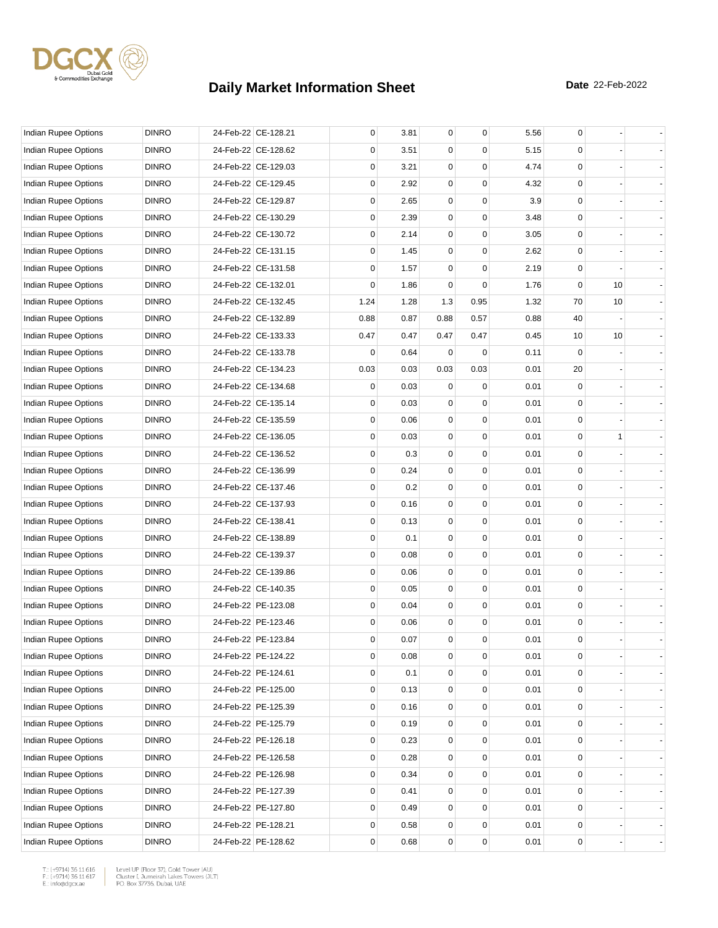

| Indian Rupee Options        | <b>DINRO</b> | 24-Feb-22 CE-128.21 | 0           | 3.81 | $\mathbf 0$ | $\mathbf 0$ | 5.56 | 0           |    |  |
|-----------------------------|--------------|---------------------|-------------|------|-------------|-------------|------|-------------|----|--|
| Indian Rupee Options        | <b>DINRO</b> | 24-Feb-22 CE-128.62 | 0           | 3.51 | 0           | $\Omega$    | 5.15 | 0           |    |  |
| Indian Rupee Options        | <b>DINRO</b> | 24-Feb-22 CE-129.03 | 0           | 3.21 | 0           | 0           | 4.74 | 0           |    |  |
| Indian Rupee Options        | <b>DINRO</b> | 24-Feb-22 CE-129.45 | 0           | 2.92 | 0           | 0           | 4.32 | 0           |    |  |
| Indian Rupee Options        | <b>DINRO</b> | 24-Feb-22 CE-129.87 | 0           | 2.65 | 0           | 0           | 3.9  | $\mathbf 0$ |    |  |
| Indian Rupee Options        | <b>DINRO</b> | 24-Feb-22 CE-130.29 | 0           | 2.39 | 0           | $\mathbf 0$ | 3.48 | 0           |    |  |
| Indian Rupee Options        | <b>DINRO</b> | 24-Feb-22 CE-130.72 | 0           | 2.14 | 0           | $\Omega$    | 3.05 | 0           |    |  |
| Indian Rupee Options        | <b>DINRO</b> | 24-Feb-22 CE-131.15 | 0           | 1.45 | 0           | $\Omega$    | 2.62 | 0           |    |  |
| Indian Rupee Options        | <b>DINRO</b> | 24-Feb-22 CE-131.58 | 0           | 1.57 | 0           | $\mathbf 0$ | 2.19 | 0           |    |  |
| Indian Rupee Options        | <b>DINRO</b> | 24-Feb-22 CE-132.01 | 0           | 1.86 | 0           | $\Omega$    | 1.76 | $\mathbf 0$ | 10 |  |
| Indian Rupee Options        | <b>DINRO</b> | 24-Feb-22 CE-132.45 | 1.24        | 1.28 | 1.3         | 0.95        | 1.32 | 70          | 10 |  |
| Indian Rupee Options        | <b>DINRO</b> | 24-Feb-22 CE-132.89 | 0.88        | 0.87 | 0.88        | 0.57        | 0.88 | 40          |    |  |
| Indian Rupee Options        | <b>DINRO</b> | 24-Feb-22 CE-133.33 | 0.47        | 0.47 | 0.47        | 0.47        | 0.45 | 10          | 10 |  |
| Indian Rupee Options        | <b>DINRO</b> | 24-Feb-22 CE-133.78 | 0           | 0.64 | $\mathbf 0$ | $\mathbf 0$ | 0.11 | $\mathbf 0$ |    |  |
| Indian Rupee Options        | <b>DINRO</b> | 24-Feb-22 CE-134.23 | 0.03        | 0.03 | 0.03        | 0.03        | 0.01 | 20          |    |  |
| Indian Rupee Options        | <b>DINRO</b> | 24-Feb-22 CE-134.68 | 0           | 0.03 | 0           | 0           | 0.01 | $\mathbf 0$ |    |  |
| <b>Indian Rupee Options</b> | <b>DINRO</b> | 24-Feb-22 CE-135.14 | 0           | 0.03 | 0           | $\Omega$    | 0.01 | 0           |    |  |
| Indian Rupee Options        | <b>DINRO</b> | 24-Feb-22 CE-135.59 | 0           | 0.06 | 0           | 0           | 0.01 | 0           |    |  |
| Indian Rupee Options        | <b>DINRO</b> | 24-Feb-22 CE-136.05 | 0           | 0.03 | 0           | $\mathbf 0$ | 0.01 | 0           | 1  |  |
| Indian Rupee Options        | <b>DINRO</b> | 24-Feb-22 CE-136.52 | 0           | 0.3  | 0           | 0           | 0.01 | 0           |    |  |
| Indian Rupee Options        | <b>DINRO</b> | 24-Feb-22 CE-136.99 | 0           | 0.24 | 0           | $\mathbf 0$ | 0.01 | 0           |    |  |
| Indian Rupee Options        | <b>DINRO</b> | 24-Feb-22 CE-137.46 | 0           | 0.2  | 0           | $\Omega$    | 0.01 | 0           |    |  |
| Indian Rupee Options        | <b>DINRO</b> | 24-Feb-22 CE-137.93 | 0           | 0.16 | 0           | $\Omega$    | 0.01 | 0           |    |  |
| Indian Rupee Options        | <b>DINRO</b> | 24-Feb-22 CE-138.41 | $\mathbf 0$ | 0.13 | 0           | 0           | 0.01 | 0           |    |  |
| Indian Rupee Options        | <b>DINRO</b> | 24-Feb-22 CE-138.89 | 0           | 0.1  | 0           | 0           | 0.01 | 0           |    |  |
| Indian Rupee Options        | <b>DINRO</b> | 24-Feb-22 CE-139.37 | 0           | 0.08 | 0           | $\mathbf 0$ | 0.01 | 0           |    |  |
| Indian Rupee Options        | <b>DINRO</b> | 24-Feb-22 CE-139.86 | 0           | 0.06 | 0           | $\Omega$    | 0.01 | 0           |    |  |
| Indian Rupee Options        | <b>DINRO</b> | 24-Feb-22 CE-140.35 | 0           | 0.05 | 0           | 0           | 0.01 | $\mathbf 0$ |    |  |
| Indian Rupee Options        | <b>DINRO</b> | 24-Feb-22 PE-123.08 | 0           | 0.04 | 0           | $\mathbf 0$ | 0.01 | 0           |    |  |
| Indian Rupee Options        | <b>DINRO</b> | 24-Feb-22 PE-123.46 | 0           | 0.06 | 0           | 0           | 0.01 | $\mathbf 0$ |    |  |
| <b>Indian Rupee Options</b> | <b>DINRO</b> | 24-Feb-22 PE-123.84 | 0           | 0.07 | $\mathbf 0$ | $\mathbf 0$ | 0.01 | 0           |    |  |
| Indian Rupee Options        | <b>DINRO</b> | 24-Feb-22 PE-124.22 | 0           | 0.08 | 0           | 0           | 0.01 | 0           |    |  |
| Indian Rupee Options        | <b>DINRO</b> | 24-Feb-22 PE-124.61 | 0           | 0.1  | $\mathbf 0$ | 0           | 0.01 | 0           |    |  |
| Indian Rupee Options        | <b>DINRO</b> | 24-Feb-22 PE-125.00 | 0           | 0.13 | 0           | 0           | 0.01 | 0           |    |  |
| Indian Rupee Options        | <b>DINRO</b> | 24-Feb-22 PE-125.39 | 0           | 0.16 | 0           | $\mathbf 0$ | 0.01 | $\mathsf 0$ |    |  |
| <b>Indian Rupee Options</b> | <b>DINRO</b> | 24-Feb-22 PE-125.79 | 0           | 0.19 | 0           | $\mathbf 0$ | 0.01 | 0           |    |  |
| Indian Rupee Options        | <b>DINRO</b> | 24-Feb-22 PE-126.18 | 0           | 0.23 | 0           | 0           | 0.01 | 0           |    |  |
| <b>Indian Rupee Options</b> | <b>DINRO</b> | 24-Feb-22 PE-126.58 | 0           | 0.28 | 0           | 0           | 0.01 | 0           |    |  |
| Indian Rupee Options        | <b>DINRO</b> | 24-Feb-22 PE-126.98 | 0           | 0.34 | 0           | 0           | 0.01 | 0           |    |  |
| Indian Rupee Options        | <b>DINRO</b> | 24-Feb-22 PE-127.39 | 0           | 0.41 | 0           | $\mathbf 0$ | 0.01 | $\mathsf 0$ |    |  |
| Indian Rupee Options        | <b>DINRO</b> | 24-Feb-22 PE-127.80 | 0           | 0.49 | 0           | $\mathbf 0$ | 0.01 | 0           |    |  |
| Indian Rupee Options        | <b>DINRO</b> | 24-Feb-22 PE-128.21 | 0           | 0.58 | 0           | 0           | 0.01 | 0           |    |  |
| Indian Rupee Options        | <b>DINRO</b> | 24-Feb-22 PE-128.62 | 0           | 0.68 | 0           | 0           | 0.01 | 0           |    |  |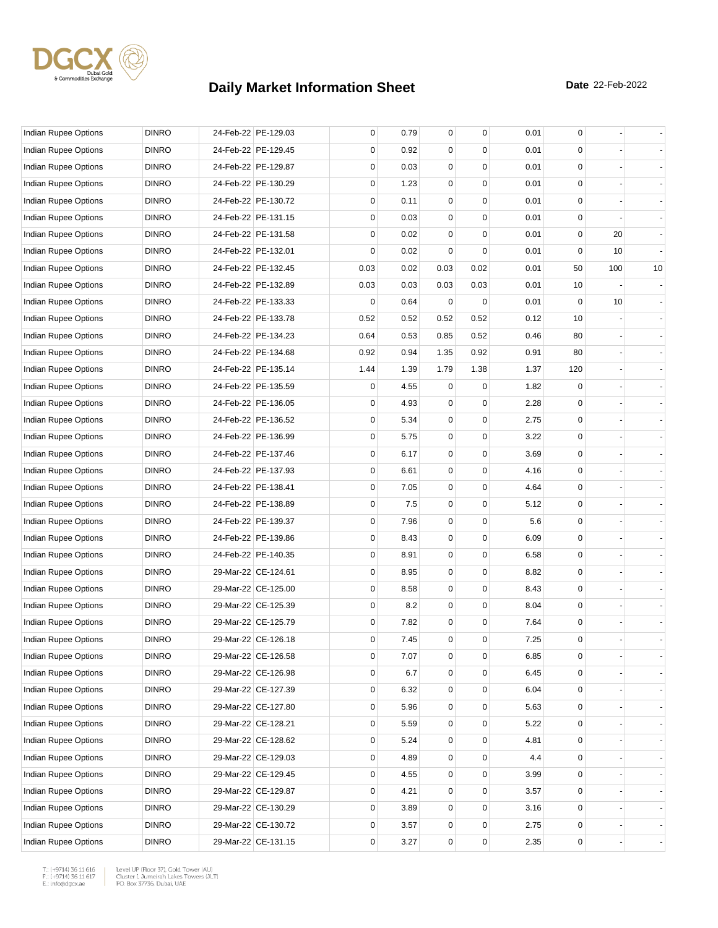

| Indian Rupee Options        | <b>DINRO</b> | 24-Feb-22 PE-129.03 | 0    | 0.79 | $\overline{0}$ | 0           | 0.01 | 0           |     |    |
|-----------------------------|--------------|---------------------|------|------|----------------|-------------|------|-------------|-----|----|
| Indian Rupee Options        | <b>DINRO</b> | 24-Feb-22 PE-129.45 | 0    | 0.92 | 0              | $\Omega$    | 0.01 | 0           |     |    |
| Indian Rupee Options        | <b>DINRO</b> | 24-Feb-22 PE-129.87 | 0    | 0.03 | 0              | 0           | 0.01 | $\mathbf 0$ |     |    |
| Indian Rupee Options        | <b>DINRO</b> | 24-Feb-22 PE-130.29 | 0    | 1.23 | 0              | 0           | 0.01 | $\mathbf 0$ |     |    |
| Indian Rupee Options        | <b>DINRO</b> | 24-Feb-22 PE-130.72 | 0    | 0.11 | 0              | 0           | 0.01 | $\mathbf 0$ |     |    |
| Indian Rupee Options        | <b>DINRO</b> | 24-Feb-22 PE-131.15 | 0    | 0.03 | 0              | 0           | 0.01 | $\mathbf 0$ |     |    |
| Indian Rupee Options        | <b>DINRO</b> | 24-Feb-22 PE-131.58 | 0    | 0.02 | $\Omega$       | 0           | 0.01 | 0           | 20  |    |
| <b>Indian Rupee Options</b> | <b>DINRO</b> | 24-Feb-22 PE-132.01 | 0    | 0.02 | $\Omega$       | 0           | 0.01 | $\mathbf 0$ | 10  |    |
| Indian Rupee Options        | <b>DINRO</b> | 24-Feb-22 PE-132.45 | 0.03 | 0.02 | 0.03           | 0.02        | 0.01 | 50          | 100 | 10 |
| Indian Rupee Options        | <b>DINRO</b> | 24-Feb-22 PE-132.89 | 0.03 | 0.03 | 0.03           | 0.03        | 0.01 | 10          |     |    |
| Indian Rupee Options        | <b>DINRO</b> | 24-Feb-22 PE-133.33 | 0    | 0.64 | $\mathbf 0$    | $\mathbf 0$ | 0.01 | $\mathbf 0$ | 10  |    |
| Indian Rupee Options        | <b>DINRO</b> | 24-Feb-22 PE-133.78 | 0.52 | 0.52 | 0.52           | 0.52        | 0.12 | 10          |     |    |
| Indian Rupee Options        | <b>DINRO</b> | 24-Feb-22 PE-134.23 | 0.64 | 0.53 | 0.85           | 0.52        | 0.46 | 80          |     |    |
| Indian Rupee Options        | <b>DINRO</b> | 24-Feb-22 PE-134.68 | 0.92 | 0.94 | 1.35           | 0.92        | 0.91 | 80          |     |    |
| <b>Indian Rupee Options</b> | <b>DINRO</b> | 24-Feb-22 PE-135.14 | 1.44 | 1.39 | 1.79           | 1.38        | 1.37 | 120         |     |    |
| <b>Indian Rupee Options</b> | <b>DINRO</b> | 24-Feb-22 PE-135.59 | 0    | 4.55 | 0              | 0           | 1.82 | 0           |     |    |
| <b>Indian Rupee Options</b> | <b>DINRO</b> | 24-Feb-22 PE-136.05 | 0    | 4.93 | 0              | 0           | 2.28 | 0           |     |    |
| <b>Indian Rupee Options</b> | <b>DINRO</b> | 24-Feb-22 PE-136.52 | 0    | 5.34 | 0              | 0           | 2.75 | $\mathbf 0$ |     |    |
| Indian Rupee Options        | <b>DINRO</b> | 24-Feb-22 PE-136.99 | 0    | 5.75 | 0              | $\mathbf 0$ | 3.22 | $\mathbf 0$ |     |    |
| Indian Rupee Options        | <b>DINRO</b> | 24-Feb-22 PE-137.46 | 0    | 6.17 | 0              | 0           | 3.69 | $\mathbf 0$ |     |    |
| Indian Rupee Options        | <b>DINRO</b> | 24-Feb-22 PE-137.93 | 0    | 6.61 | 0              | $\mathbf 0$ | 4.16 | $\mathbf 0$ |     |    |
| Indian Rupee Options        | <b>DINRO</b> | 24-Feb-22 PE-138.41 | 0    | 7.05 | 0              | 0           | 4.64 | 0           |     |    |
| Indian Rupee Options        | <b>DINRO</b> | 24-Feb-22 PE-138.89 | 0    | 7.5  | 0              | 0           | 5.12 | $\mathbf 0$ |     |    |
| Indian Rupee Options        | <b>DINRO</b> | 24-Feb-22 PE-139.37 | 0    | 7.96 | 0              | 0           | 5.6  | $\mathbf 0$ |     |    |
| Indian Rupee Options        | <b>DINRO</b> | 24-Feb-22 PE-139.86 | 0    | 8.43 | 0              | 0           | 6.09 | $\mathbf 0$ |     |    |
| Indian Rupee Options        | <b>DINRO</b> | 24-Feb-22 PE-140.35 | 0    | 8.91 | 0              | $\mathbf 0$ | 6.58 | $\mathbf 0$ |     |    |
| Indian Rupee Options        | <b>DINRO</b> | 29-Mar-22 CE-124.61 | 0    | 8.95 | 0              | 0           | 8.82 | 0           |     |    |
| Indian Rupee Options        | <b>DINRO</b> | 29-Mar-22 CE-125.00 | 0    | 8.58 | 0              | 0           | 8.43 | $\mathbf 0$ |     |    |
| Indian Rupee Options        | <b>DINRO</b> | 29-Mar-22 CE-125.39 | 0    | 8.2  | 0              | 0           | 8.04 | $\mathbf 0$ |     |    |
| Indian Rupee Options        | <b>DINRO</b> | 29-Mar-22 CE-125.79 | 0    | 7.82 | 0              | 0           | 7.64 | 0           |     |    |
| Indian Rupee Options        | <b>DINRO</b> | 29-Mar-22 CE-126.18 | 0    | 7.45 | $\overline{0}$ | 0           | 7.25 | $\mathbf 0$ |     |    |
| Indian Rupee Options        | <b>DINRO</b> | 29-Mar-22 CE-126.58 | 0    | 7.07 | 0              | 0           | 6.85 | 0           |     |    |
| Indian Rupee Options        | <b>DINRO</b> | 29-Mar-22 CE-126.98 | 0    | 6.7  | 0              | 0           | 6.45 | $\mathbf 0$ |     |    |
| Indian Rupee Options        | <b>DINRO</b> | 29-Mar-22 CE-127.39 | 0    | 6.32 | 0              | 0           | 6.04 | 0           |     |    |
| Indian Rupee Options        | <b>DINRO</b> | 29-Mar-22 CE-127.80 | 0    | 5.96 | 0              | 0           | 5.63 | $\mathbf 0$ |     |    |
| Indian Rupee Options        | <b>DINRO</b> | 29-Mar-22 CE-128.21 | 0    | 5.59 | 0              | 0           | 5.22 | 0           |     |    |
| Indian Rupee Options        | <b>DINRO</b> | 29-Mar-22 CE-128.62 | 0    | 5.24 | 0              | 0           | 4.81 | 0           |     |    |
| Indian Rupee Options        | <b>DINRO</b> | 29-Mar-22 CE-129.03 | 0    | 4.89 | 0              | 0           | 4.4  | 0           |     |    |
| Indian Rupee Options        | <b>DINRO</b> | 29-Mar-22 CE-129.45 | 0    | 4.55 | 0              | 0           | 3.99 | 0           |     |    |
| Indian Rupee Options        | <b>DINRO</b> | 29-Mar-22 CE-129.87 | 0    | 4.21 | 0              | 0           | 3.57 | $\mathbf 0$ |     |    |
| Indian Rupee Options        | <b>DINRO</b> | 29-Mar-22 CE-130.29 | 0    | 3.89 | 0              | 0           | 3.16 | 0           |     |    |
| Indian Rupee Options        | <b>DINRO</b> | 29-Mar-22 CE-130.72 | 0    | 3.57 | 0              | 0           | 2.75 | 0           |     |    |
| Indian Rupee Options        | <b>DINRO</b> | 29-Mar-22 CE-131.15 | 0    | 3.27 | 0              | 0           | 2.35 | 0           |     |    |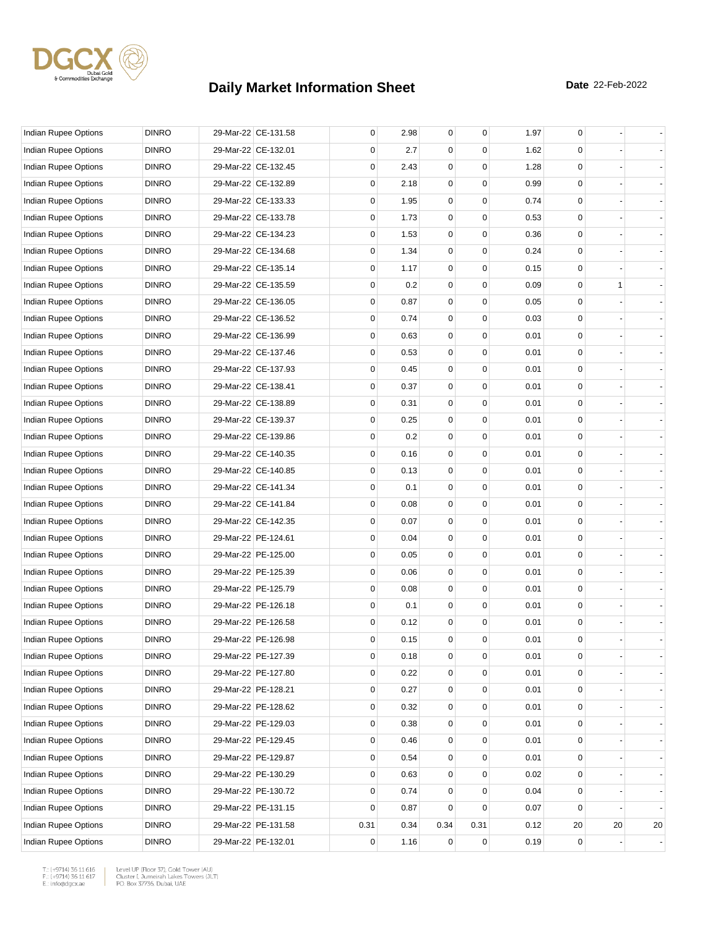

| Indian Rupee Options        | <b>DINRO</b> | 29-Mar-22 CE-131.58 | 0           | 2.98 | $\overline{0}$ | 0           | 1.97 | 0            |    |    |
|-----------------------------|--------------|---------------------|-------------|------|----------------|-------------|------|--------------|----|----|
| Indian Rupee Options        | <b>DINRO</b> | 29-Mar-22 CE-132.01 | 0           | 2.7  | $\Omega$       | $\Omega$    | 1.62 | 0            |    |    |
| Indian Rupee Options        | <b>DINRO</b> | 29-Mar-22 CE-132.45 | 0           | 2.43 | $\Omega$       | 0           | 1.28 | $\mathbf 0$  |    |    |
| Indian Rupee Options        | <b>DINRO</b> | 29-Mar-22 CE-132.89 | 0           | 2.18 | 0              | 0           | 0.99 | $\mathbf 0$  |    |    |
| Indian Rupee Options        | <b>DINRO</b> | 29-Mar-22 CE-133.33 | 0           | 1.95 | 0              | 0           | 0.74 | $\mathbf 0$  |    |    |
| Indian Rupee Options        | <b>DINRO</b> | 29-Mar-22 CE-133.78 | 0           | 1.73 | 0              | 0           | 0.53 | $\mathbf 0$  |    |    |
| Indian Rupee Options        | <b>DINRO</b> | 29-Mar-22 CE-134.23 | 0           | 1.53 | 0              | 0           | 0.36 | 0            |    |    |
| <b>Indian Rupee Options</b> | <b>DINRO</b> | 29-Mar-22 CE-134.68 | 0           | 1.34 | 0              | 0           | 0.24 | $\mathbf 0$  |    |    |
| Indian Rupee Options        | <b>DINRO</b> | 29-Mar-22 CE-135.14 | 0           | 1.17 | 0              | 0           | 0.15 | $\mathbf 0$  |    |    |
| Indian Rupee Options        | <b>DINRO</b> | 29-Mar-22 CE-135.59 | $\mathbf 0$ | 0.2  | 0              | 0           | 0.09 | $\mathbf 0$  | 1  |    |
| Indian Rupee Options        | <b>DINRO</b> | 29-Mar-22 CE-136.05 | 0           | 0.87 | 0              | 0           | 0.05 | $\mathbf 0$  |    |    |
| Indian Rupee Options        | <b>DINRO</b> | 29-Mar-22 CE-136.52 | 0           | 0.74 | 0              | 0           | 0.03 | 0            |    |    |
| Indian Rupee Options        | <b>DINRO</b> | 29-Mar-22 CE-136.99 | 0           | 0.63 | 0              | 0           | 0.01 | $\mathbf 0$  |    |    |
| Indian Rupee Options        | <b>DINRO</b> | 29-Mar-22 CE-137.46 | 0           | 0.53 | 0              | 0           | 0.01 | $\mathbf 0$  |    |    |
| Indian Rupee Options        | <b>DINRO</b> | 29-Mar-22 CE-137.93 | 0           | 0.45 | 0              | 0           | 0.01 | $\mathbf 0$  |    |    |
| <b>Indian Rupee Options</b> | <b>DINRO</b> | 29-Mar-22 CE-138.41 | 0           | 0.37 | 0              | 0           | 0.01 | $\mathbf 0$  |    |    |
| Indian Rupee Options        | <b>DINRO</b> | 29-Mar-22 CE-138.89 | 0           | 0.31 | 0              | 0           | 0.01 | 0            |    |    |
| Indian Rupee Options        | <b>DINRO</b> | 29-Mar-22 CE-139.37 | 0           | 0.25 | 0              | 0           | 0.01 | $\mathbf 0$  |    |    |
| Indian Rupee Options        | <b>DINRO</b> | 29-Mar-22 CE-139.86 | 0           | 0.2  | 0              | 0           | 0.01 | $\mathbf 0$  |    |    |
| Indian Rupee Options        | <b>DINRO</b> | 29-Mar-22 CE-140.35 | 0           | 0.16 | 0              | 0           | 0.01 | $\mathbf 0$  |    |    |
| Indian Rupee Options        | <b>DINRO</b> | 29-Mar-22 CE-140.85 | 0           | 0.13 | 0              | 0           | 0.01 | $\mathbf 0$  |    |    |
| Indian Rupee Options        | <b>DINRO</b> | 29-Mar-22 CE-141.34 | 0           | 0.1  | 0              | 0           | 0.01 | 0            |    |    |
| Indian Rupee Options        | <b>DINRO</b> | 29-Mar-22 CE-141.84 | 0           | 0.08 | 0              | 0           | 0.01 | $\mathbf 0$  |    |    |
| Indian Rupee Options        | <b>DINRO</b> | 29-Mar-22 CE-142.35 | 0           | 0.07 | 0              | 0           | 0.01 | $\mathbf 0$  |    |    |
| Indian Rupee Options        | <b>DINRO</b> | 29-Mar-22 PE-124.61 | 0           | 0.04 | 0              | 0           | 0.01 | $\mathbf 0$  |    |    |
| Indian Rupee Options        | <b>DINRO</b> | 29-Mar-22 PE-125.00 | 0           | 0.05 | 0              | 0           | 0.01 | $\mathbf 0$  |    |    |
| Indian Rupee Options        | <b>DINRO</b> | 29-Mar-22 PE-125.39 | 0           | 0.06 | 0              | 0           | 0.01 | 0            |    |    |
| Indian Rupee Options        | <b>DINRO</b> | 29-Mar-22 PE-125.79 | 0           | 0.08 | 0              | 0           | 0.01 | $\mathbf 0$  |    |    |
| Indian Rupee Options        | <b>DINRO</b> | 29-Mar-22 PE-126.18 | 0           | 0.1  | 0              | 0           | 0.01 | $\mathbf 0$  |    |    |
| Indian Rupee Options        | <b>DINRO</b> | 29-Mar-22 PE-126.58 | 0           | 0.12 | 0              | 0           | 0.01 | $\mathbf 0$  |    |    |
| <b>Indian Rupee Options</b> | <b>DINRO</b> | 29-Mar-22 PE-126.98 | 0           | 0.15 | $\overline{0}$ | 0           | 0.01 | $\mathbf 0$  |    |    |
| Indian Rupee Options        | <b>DINRO</b> | 29-Mar-22 PE-127.39 | 0           | 0.18 | 0              | 0           | 0.01 | 0            |    |    |
| Indian Rupee Options        | <b>DINRO</b> | 29-Mar-22 PE-127.80 | 0           | 0.22 | 0              | 0           | 0.01 | $\mathbf 0$  |    |    |
| Indian Rupee Options        | <b>DINRO</b> | 29-Mar-22 PE-128.21 | 0           | 0.27 | 0              | 0           | 0.01 | 0            |    |    |
| Indian Rupee Options        | <b>DINRO</b> | 29-Mar-22 PE-128.62 | 0           | 0.32 | 0              | 0           | 0.01 | $\mathbf 0$  |    |    |
| Indian Rupee Options        | <b>DINRO</b> | 29-Mar-22 PE-129.03 | 0           | 0.38 | 0              | 0           | 0.01 | $\mathbf 0$  |    |    |
| Indian Rupee Options        | <b>DINRO</b> | 29-Mar-22 PE-129.45 | 0           | 0.46 | 0              | 0           | 0.01 | 0            |    |    |
| Indian Rupee Options        | <b>DINRO</b> | 29-Mar-22 PE-129.87 | 0           | 0.54 | 0              | 0           | 0.01 | 0            |    |    |
| Indian Rupee Options        | <b>DINRO</b> | 29-Mar-22 PE-130.29 | 0           | 0.63 | 0              | 0           | 0.02 | 0            |    |    |
| Indian Rupee Options        | <b>DINRO</b> | 29-Mar-22 PE-130.72 | 0           | 0.74 | 0              | 0           | 0.04 | $\mathbf 0$  |    |    |
| Indian Rupee Options        | <b>DINRO</b> | 29-Mar-22 PE-131.15 | 0           | 0.87 | $\mathbf{0}$   | 0           | 0.07 | $\mathbf{0}$ |    |    |
| Indian Rupee Options        | <b>DINRO</b> | 29-Mar-22 PE-131.58 | 0.31        | 0.34 | 0.34           | 0.31        | 0.12 | 20           | 20 | 20 |
| Indian Rupee Options        | <b>DINRO</b> | 29-Mar-22 PE-132.01 | 0           | 1.16 | 0              | $\mathbf 0$ | 0.19 | 0            |    |    |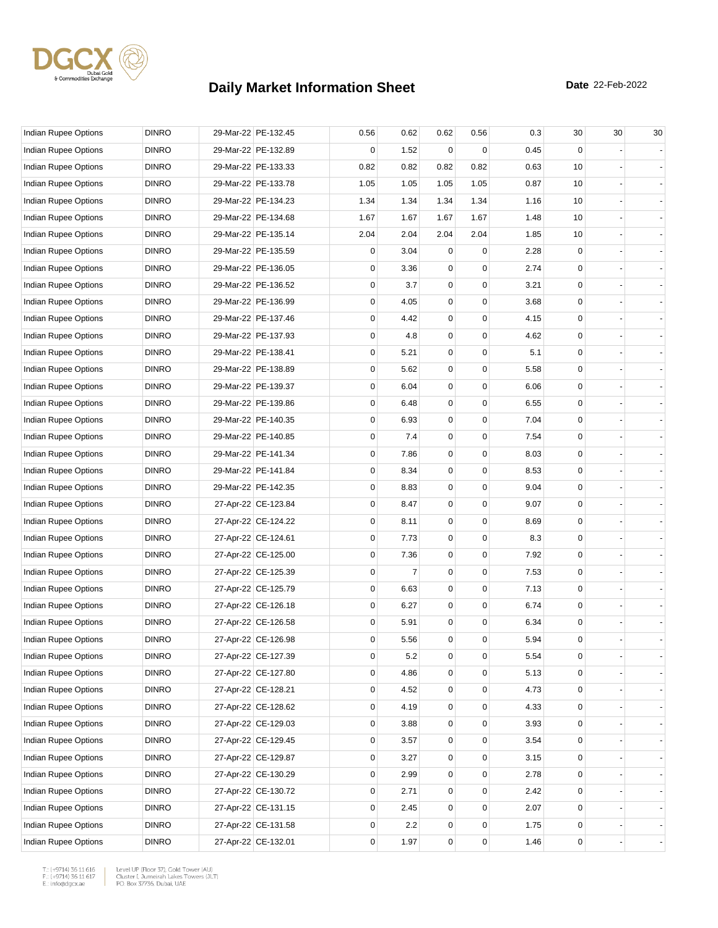

| Indian Rupee Options        | <b>DINRO</b> | 29-Mar-22 PE-132.45 | 0.56        | 0.62 | 0.62         | 0.56     | 0.3  | 30          | 30 | 30 |
|-----------------------------|--------------|---------------------|-------------|------|--------------|----------|------|-------------|----|----|
| Indian Rupee Options        | <b>DINRO</b> | 29-Mar-22 PE-132.89 | 0           | 1.52 | 0            | $\Omega$ | 0.45 | $\Omega$    |    |    |
| <b>Indian Rupee Options</b> | <b>DINRO</b> | 29-Mar-22 PE-133.33 | 0.82        | 0.82 | 0.82         | 0.82     | 0.63 | 10          |    |    |
| Indian Rupee Options        | <b>DINRO</b> | 29-Mar-22 PE-133.78 | 1.05        | 1.05 | 1.05         | 1.05     | 0.87 | 10          |    |    |
| Indian Rupee Options        | <b>DINRO</b> | 29-Mar-22 PE-134.23 | 1.34        | 1.34 | 1.34         | 1.34     | 1.16 | 10          |    |    |
| Indian Rupee Options        | <b>DINRO</b> | 29-Mar-22 PE-134.68 | 1.67        | 1.67 | 1.67         | 1.67     | 1.48 | 10          |    |    |
| Indian Rupee Options        | <b>DINRO</b> | 29-Mar-22 PE-135.14 | 2.04        | 2.04 | 2.04         | 2.04     | 1.85 | 10          |    |    |
| <b>Indian Rupee Options</b> | <b>DINRO</b> | 29-Mar-22 PE-135.59 | 0           | 3.04 | $\Omega$     | 0        | 2.28 | $\mathbf 0$ |    |    |
| Indian Rupee Options        | <b>DINRO</b> | 29-Mar-22 PE-136.05 | 0           | 3.36 | 0            | 0        | 2.74 | 0           |    |    |
| Indian Rupee Options        | <b>DINRO</b> | 29-Mar-22 PE-136.52 | 0           | 3.7  | $\mathbf 0$  | 0        | 3.21 | $\mathbf 0$ |    |    |
| Indian Rupee Options        | <b>DINRO</b> | 29-Mar-22 PE-136.99 | $\mathbf 0$ | 4.05 | $\mathbf 0$  | 0        | 3.68 | $\mathbf 0$ |    |    |
| Indian Rupee Options        | <b>DINRO</b> | 29-Mar-22 PE-137.46 | 0           | 4.42 | $\Omega$     | 0        | 4.15 | 0           |    |    |
| Indian Rupee Options        | <b>DINRO</b> | 29-Mar-22 PE-137.93 | 0           | 4.8  | 0            | 0        | 4.62 | $\mathbf 0$ |    |    |
| Indian Rupee Options        | <b>DINRO</b> | 29-Mar-22 PE-138.41 | 0           | 5.21 | 0            | 0        | 5.1  | 0           |    |    |
| Indian Rupee Options        | <b>DINRO</b> | 29-Mar-22 PE-138.89 | 0           | 5.62 | $\mathbf 0$  | 0        | 5.58 | $\mathbf 0$ |    |    |
| Indian Rupee Options        | <b>DINRO</b> | 29-Mar-22 PE-139.37 | 0           | 6.04 | $\mathbf 0$  | 0        | 6.06 | $\mathbf 0$ |    |    |
| Indian Rupee Options        | <b>DINRO</b> | 29-Mar-22 PE-139.86 | 0           | 6.48 | 0            | 0        | 6.55 | 0           |    |    |
| Indian Rupee Options        | <b>DINRO</b> | 29-Mar-22 PE-140.35 | 0           | 6.93 | 0            | 0        | 7.04 | $\mathbf 0$ |    |    |
| <b>Indian Rupee Options</b> | <b>DINRO</b> | 29-Mar-22 PE-140.85 | 0           | 7.4  | 0            | 0        | 7.54 | 0           |    |    |
| Indian Rupee Options        | <b>DINRO</b> | 29-Mar-22 PE-141.34 | 0           | 7.86 | $\mathbf 0$  | 0        | 8.03 | $\mathbf 0$ |    |    |
| Indian Rupee Options        | <b>DINRO</b> | 29-Mar-22 PE-141.84 | 0           | 8.34 | $\mathbf 0$  | 0        | 8.53 | $\mathbf 0$ |    |    |
| Indian Rupee Options        | <b>DINRO</b> | 29-Mar-22 PE-142.35 | 0           | 8.83 | 0            | 0        | 9.04 | 0           |    |    |
| Indian Rupee Options        | <b>DINRO</b> | 27-Apr-22 CE-123.84 | 0           | 8.47 | 0            | 0        | 9.07 | $\mathbf 0$ |    |    |
| Indian Rupee Options        | <b>DINRO</b> | 27-Apr-22 CE-124.22 | $\mathbf 0$ | 8.11 | 0            | 0        | 8.69 | 0           |    |    |
| Indian Rupee Options        | <b>DINRO</b> | 27-Apr-22 CE-124.61 | 0           | 7.73 | $\mathbf 0$  | 0        | 8.3  | $\mathbf 0$ |    |    |
| Indian Rupee Options        | <b>DINRO</b> | 27-Apr-22 CE-125.00 | $\mathbf 0$ | 7.36 | $\mathbf 0$  | 0        | 7.92 | $\mathbf 0$ |    |    |
| Indian Rupee Options        | <b>DINRO</b> | 27-Apr-22 CE-125.39 | 0           | 7    | 0            | 0        | 7.53 | 0           |    |    |
| Indian Rupee Options        | <b>DINRO</b> | 27-Apr-22 CE-125.79 | 0           | 6.63 | 0            | 0        | 7.13 | $\mathbf 0$ |    |    |
| Indian Rupee Options        | <b>DINRO</b> | 27-Apr-22 CE-126.18 | $\mathbf 0$ | 6.27 | 0            | 0        | 6.74 | 0           |    |    |
| Indian Rupee Options        | <b>DINRO</b> | 27-Apr-22 CE-126.58 | 0           | 5.91 | $\mathbf 0$  | 0        | 6.34 | $\mathbf 0$ |    |    |
| Indian Rupee Options        | <b>DINRO</b> | 27-Apr-22 CE-126.98 | 0           | 5.56 | $\mathbf{0}$ | 0        | 5.94 | $\mathbf 0$ |    |    |
| Indian Rupee Options        | <b>DINRO</b> | 27-Apr-22 CE-127.39 | 0           | 5.2  | 0            | 0        | 5.54 | 0           |    |    |
| Indian Rupee Options        | <b>DINRO</b> | 27-Apr-22 CE-127.80 | 0           | 4.86 | 0            | 0        | 5.13 | 0           |    |    |
| <b>Indian Rupee Options</b> | <b>DINRO</b> | 27-Apr-22 CE-128.21 | 0           | 4.52 | $\mathbf 0$  | 0        | 4.73 | 0           |    |    |
| Indian Rupee Options        | <b>DINRO</b> | 27-Apr-22 CE-128.62 | 0           | 4.19 | $\mathbf{0}$ | 0        | 4.33 | 0           |    |    |
| Indian Rupee Options        | <b>DINRO</b> | 27-Apr-22 CE-129.03 | 0           | 3.88 | 0            | 0        | 3.93 | 0           |    |    |
| Indian Rupee Options        | <b>DINRO</b> | 27-Apr-22 CE-129.45 | 0           | 3.57 | 0            | 0        | 3.54 | 0           |    |    |
| Indian Rupee Options        | <b>DINRO</b> | 27-Apr-22 CE-129.87 | 0           | 3.27 | 0            | 0        | 3.15 | 0           |    |    |
| Indian Rupee Options        | <b>DINRO</b> | 27-Apr-22 CE-130.29 | 0           | 2.99 | 0            | 0        | 2.78 | 0           |    |    |
| Indian Rupee Options        | <b>DINRO</b> | 27-Apr-22 CE-130.72 | 0           | 2.71 | $\mathbf 0$  | 0        | 2.42 | 0           |    |    |
| Indian Rupee Options        | <b>DINRO</b> | 27-Apr-22 CE-131.15 | 0           | 2.45 | 0            | 0        | 2.07 | 0           |    |    |
| Indian Rupee Options        | <b>DINRO</b> | 27-Apr-22 CE-131.58 | 0           | 2.2  | 0            | 0        | 1.75 | 0           |    |    |
| Indian Rupee Options        | <b>DINRO</b> | 27-Apr-22 CE-132.01 | 0           | 1.97 | 0            | 0        | 1.46 | 0           |    |    |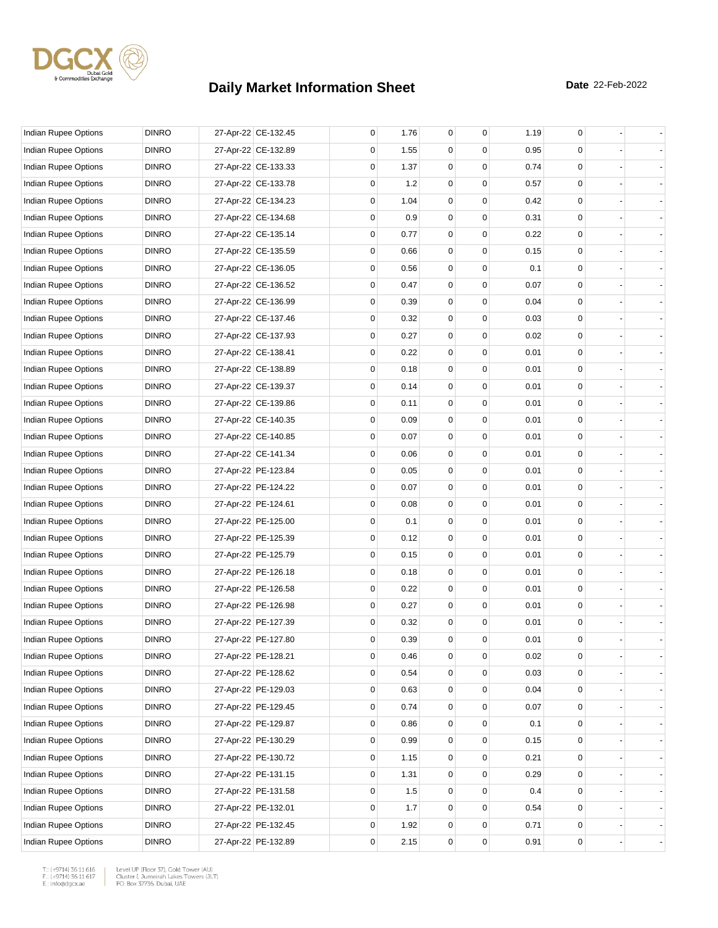

| <b>Indian Rupee Options</b> | <b>DINRO</b> | 27-Apr-22 CE-132.45 | 0 | 1.76 | 0           | 0        | 1.19 | 0 |                |
|-----------------------------|--------------|---------------------|---|------|-------------|----------|------|---|----------------|
| Indian Rupee Options        | <b>DINRO</b> | 27-Apr-22 CE-132.89 | 0 | 1.55 | 0           | $\Omega$ | 0.95 | 0 |                |
| Indian Rupee Options        | <b>DINRO</b> | 27-Apr-22 CE-133.33 | 0 | 1.37 | $\mathbf 0$ | 0        | 0.74 | 0 |                |
| Indian Rupee Options        | <b>DINRO</b> | 27-Apr-22 CE-133.78 | 0 | 1.2  | 0           | 0        | 0.57 | 0 |                |
| Indian Rupee Options        | <b>DINRO</b> | 27-Apr-22 CE-134.23 | 0 | 1.04 | 0           | 0        | 0.42 | 0 |                |
| Indian Rupee Options        | <b>DINRO</b> | 27-Apr-22 CE-134.68 | 0 | 0.9  | 0           | 0        | 0.31 | 0 |                |
| Indian Rupee Options        | <b>DINRO</b> | 27-Apr-22 CE-135.14 | 0 | 0.77 | $\mathbf 0$ | 0        | 0.22 | 0 |                |
| <b>Indian Rupee Options</b> | <b>DINRO</b> | 27-Apr-22 CE-135.59 | 0 | 0.66 | $\mathbf 0$ | 0        | 0.15 | 0 |                |
| Indian Rupee Options        | <b>DINRO</b> | 27-Apr-22 CE-136.05 | 0 | 0.56 | 0           | 0        | 0.1  | 0 |                |
| Indian Rupee Options        | <b>DINRO</b> | 27-Apr-22 CE-136.52 | 0 | 0.47 | 0           | 0        | 0.07 | 0 |                |
| Indian Rupee Options        | <b>DINRO</b> | 27-Apr-22 CE-136.99 | 0 | 0.39 | 0           | 0        | 0.04 | 0 |                |
| Indian Rupee Options        | <b>DINRO</b> | 27-Apr-22 CE-137.46 | 0 | 0.32 | $\mathbf 0$ | 0        | 0.03 | 0 |                |
| Indian Rupee Options        | <b>DINRO</b> | 27-Apr-22 CE-137.93 | 0 | 0.27 | $\mathbf 0$ | 0        | 0.02 | 0 |                |
| Indian Rupee Options        | <b>DINRO</b> | 27-Apr-22 CE-138.41 | 0 | 0.22 | 0           | 0        | 0.01 | 0 |                |
| Indian Rupee Options        | <b>DINRO</b> | 27-Apr-22 CE-138.89 | 0 | 0.18 | 0           | 0        | 0.01 | 0 |                |
| <b>Indian Rupee Options</b> | <b>DINRO</b> | 27-Apr-22 CE-139.37 | 0 | 0.14 | $\mathbf 0$ | 0        | 0.01 | 0 |                |
| Indian Rupee Options        | <b>DINRO</b> | 27-Apr-22 CE-139.86 | 0 | 0.11 | $\mathbf 0$ | 0        | 0.01 | 0 |                |
| Indian Rupee Options        | <b>DINRO</b> | 27-Apr-22 CE-140.35 | 0 | 0.09 | $\mathbf 0$ | 0        | 0.01 | 0 |                |
| Indian Rupee Options        | <b>DINRO</b> | 27-Apr-22 CE-140.85 | 0 | 0.07 | 0           | 0        | 0.01 | 0 |                |
| Indian Rupee Options        | <b>DINRO</b> | 27-Apr-22 CE-141.34 | 0 | 0.06 | 0           | 0        | 0.01 | 0 |                |
| Indian Rupee Options        | <b>DINRO</b> | 27-Apr-22 PE-123.84 | 0 | 0.05 | $\mathbf 0$ | 0        | 0.01 | 0 |                |
| Indian Rupee Options        | <b>DINRO</b> | 27-Apr-22 PE-124.22 | 0 | 0.07 | $\mathbf 0$ | 0        | 0.01 | 0 |                |
| Indian Rupee Options        | <b>DINRO</b> | 27-Apr-22 PE-124.61 | 0 | 0.08 | $\mathbf 0$ | 0        | 0.01 | 0 |                |
| Indian Rupee Options        | <b>DINRO</b> | 27-Apr-22 PE-125.00 | 0 | 0.1  | 0           | 0        | 0.01 | 0 |                |
| Indian Rupee Options        | <b>DINRO</b> | 27-Apr-22 PE-125.39 | 0 | 0.12 | 0           | 0        | 0.01 | 0 |                |
| Indian Rupee Options        | <b>DINRO</b> | 27-Apr-22 PE-125.79 | 0 | 0.15 | $\mathbf 0$ | 0        | 0.01 | 0 |                |
| Indian Rupee Options        | <b>DINRO</b> | 27-Apr-22 PE-126.18 | 0 | 0.18 | $\mathbf 0$ | 0        | 0.01 | 0 |                |
| <b>Indian Rupee Options</b> | <b>DINRO</b> | 27-Apr-22 PE-126.58 | 0 | 0.22 | $\mathbf 0$ | 0        | 0.01 | 0 |                |
| Indian Rupee Options        | <b>DINRO</b> | 27-Apr-22 PE-126.98 | 0 | 0.27 | 0           | 0        | 0.01 | 0 |                |
| Indian Rupee Options        | <b>DINRO</b> | 27-Apr-22 PE-127.39 | 0 | 0.32 | 0           | 0        | 0.01 | 0 |                |
| Indian Rupee Options        | <b>DINRO</b> | 27-Apr-22 PE-127.80 | 0 | 0.39 | $\mathbf 0$ | 0        | 0.01 | 0 |                |
| Indian Rupee Options        | <b>DINRO</b> | 27-Apr-22 PE-128.21 | 0 | 0.46 | $\pmb{0}$   | 0        | 0.02 | 0 |                |
| <b>Indian Rupee Options</b> | <b>DINRO</b> | 27-Apr-22 PE-128.62 | 0 | 0.54 | 0           | 0        | 0.03 | 0 |                |
| Indian Rupee Options        | <b>DINRO</b> | 27-Apr-22 PE-129.03 | 0 | 0.63 | 0           | 0        | 0.04 | 0 |                |
| Indian Rupee Options        | <b>DINRO</b> | 27-Apr-22 PE-129.45 | 0 | 0.74 | 0           | 0        | 0.07 | 0 |                |
| Indian Rupee Options        | <b>DINRO</b> | 27-Apr-22 PE-129.87 | 0 | 0.86 | 0           | 0        | 0.1  | 0 | $\blacksquare$ |
| Indian Rupee Options        | <b>DINRO</b> | 27-Apr-22 PE-130.29 | 0 | 0.99 | 0           | 0        | 0.15 | 0 |                |
| Indian Rupee Options        | <b>DINRO</b> | 27-Apr-22 PE-130.72 | 0 | 1.15 | 0           | 0        | 0.21 | 0 |                |
| Indian Rupee Options        | <b>DINRO</b> | 27-Apr-22 PE-131.15 | 0 | 1.31 | 0           | 0        | 0.29 | 0 |                |
| Indian Rupee Options        | <b>DINRO</b> | 27-Apr-22 PE-131.58 | 0 | 1.5  | 0           | 0        | 0.4  | 0 |                |
| Indian Rupee Options        | <b>DINRO</b> | 27-Apr-22 PE-132.01 | 0 | 1.7  | 0           | 0        | 0.54 | 0 | $\blacksquare$ |
| Indian Rupee Options        | <b>DINRO</b> | 27-Apr-22 PE-132.45 | 0 | 1.92 | 0           | 0        | 0.71 | 0 |                |
| Indian Rupee Options        | <b>DINRO</b> | 27-Apr-22 PE-132.89 | 0 | 2.15 | $\mathsf 0$ | 0        | 0.91 | 0 |                |